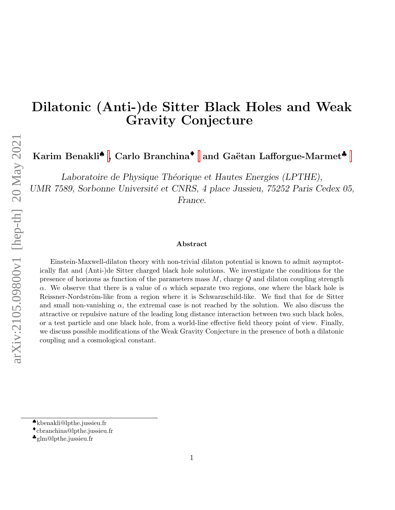# Dilatonic (Anti-)de Sitter Black Holes and Weak Gravity Conjecture

Karim Benakli<sup>◆</sup>[,](#page-0-0) Carlo Branchina<sup>◆</sup> and Gaëtan Lafforgue-Marmet<sup>◆</sup>

Laboratoire de Physique Théorique et Hautes Energies (LPTHE), UMR 7589, Sorbonne Université et CNRS, 4 place Jussieu, 75252 Paris Cedex 05, France.

#### Abstract

Einstein-Maxwell-dilaton theory with non-trivial dilaton potential is known to admit asymptotically flat and (Anti-)de Sitter charged black hole solutions. We investigate the conditions for the presence of horizons as function of the parameters mass  $M$ , charge  $Q$  and dilaton coupling strength α. We observe that there is a value of  $\alpha$  which separate two regions, one where the black hole is Reissner-Nordström-like from a region where it is Schwarzschild-like. We find that for de Sitter and small non-vanishing  $\alpha$ , the extremal case is not reached by the solution. We also discuss the attractive or repulsive nature of the leading long distance interaction between two such black holes, or a test particle and one black hole, from a world-line effective field theory point of view. Finally, we discuss possible modifications of the Weak Gravity Conjecture in the presence of both a dilatonic coupling and a cosmological constant.

<span id="page-0-0"></span><sup>♠</sup>kbenakli@lpthe.jussieu.fr

<sup>♦</sup>cbranchina@lpthe.jussieu.fr

<sup>♣</sup>glm@lpthe.jussieu.fr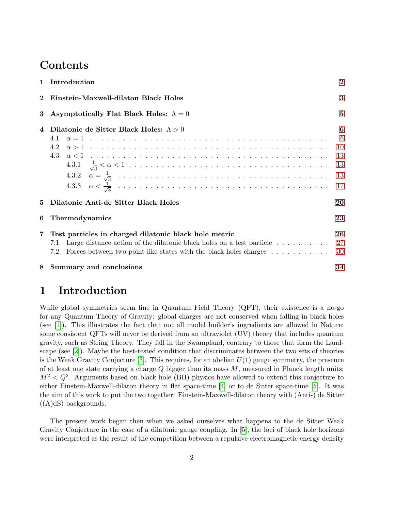### **Contents**

|          | 1 Introduction                                                                                                                                                                                                                        | $\bf{2}$                                 |
|----------|---------------------------------------------------------------------------------------------------------------------------------------------------------------------------------------------------------------------------------------|------------------------------------------|
| $\bf{2}$ | Einstein-Maxwell-dilaton Black Holes                                                                                                                                                                                                  | 3                                        |
| 3        | Asymptotically Flat Black Holes: $\Lambda = 0$                                                                                                                                                                                        | $\bf{5}$                                 |
| 4        | Dilatonic de Sitter Black Holes: $\Lambda > 0$<br>4.2<br>4.3                                                                                                                                                                          | 6<br>$-6$<br>-10<br>13<br>13<br>13<br>17 |
| 5        | Dilatonic Anti-de Sitter Black Holes                                                                                                                                                                                                  | 20                                       |
| 6        | Thermodynamics                                                                                                                                                                                                                        | 23                                       |
| 7        | Test particles in charged dilatonic black hole metric<br>Large distance action of the dilatonic black holes on a test particle $\dots \dots \dots$<br>7.1<br>Forces between two point-like states with the black holes charges<br>7.2 | 26<br>27<br>30                           |
| 8        | Summary and conclusions                                                                                                                                                                                                               | 34                                       |

## <span id="page-1-0"></span>1 Introduction

While global symmetries seem fine in Quantum Field Theory (QFT), their existence is a no-go for any Quantum Theory of Gravity: global charges are not conserved when falling in black holes (see [\[1\]](#page-37-0)). This illustrates the fact that not all model builder's ingredients are allowed in Nature: some consistent QFTs will never be derived from an ultraviolet (UV) theory that includes quantum gravity, such as String Theory. They fall in the Swampland, contrary to those that form the Landscape (see [\[2\]](#page-37-1)). Maybe the best-tested condition that discriminates between the two sets of theories is the Weak Gravity Conjecture [\[3\]](#page-37-2). This requires, for an abelian  $U(1)$  gauge symmetry, the presence of at least one state carrying a charge  $Q$  bigger than its mass  $M$ , measured in Planck length units:  $M^2 < Q^2$ . Arguments based on black hole (BH) physics have allowed to extend this conjecture to either Einstein-Maxwell-dilaton theory in flat space-time [\[4\]](#page-37-3) or to de Sitter space-time [\[5\]](#page-37-4). It was the aim of this work to put the two together: Einstein-Maxwell-dilaton theory with (Anti-) de Sitter  $((A)dS)$  backgrounds.

The present work began then when we asked ourselves what happens to the de Sitter Weak Gravity Conjecture in the case of a dilatonic gauge coupling. In [\[5\]](#page-37-4), the loci of black hole horizons were interpreted as the result of the competition between a repulsive electromagnetic energy density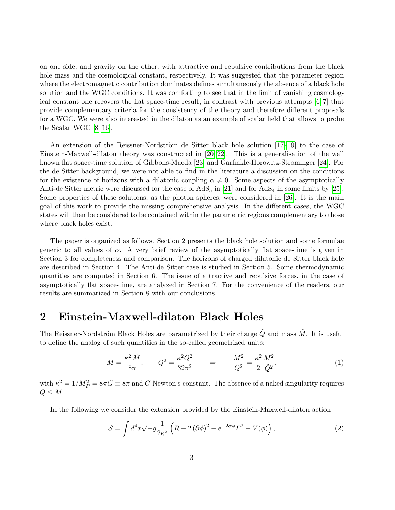on one side, and gravity on the other, with attractive and repulsive contributions from the black hole mass and the cosmological constant, respectively. It was suggested that the parameter region where the electromagnetic contribution dominates defines simultaneously the absence of a black hole solution and the WGC conditions. It was comforting to see that in the limit of vanishing cosmological constant one recovers the flat space-time result, in contrast with previous attempts [\[6,](#page-37-5) [7\]](#page-37-6) that provide complementary criteria for the consistency of the theory and therefore different proposals for a WGC. We were also interested in the dilaton as an example of scalar field that allows to probe the Scalar WGC [\[8–](#page-37-7)[16\]](#page-38-0).

An extension of the Reissner-Nordström de Sitter black hole solution  $[17-19]$  $[17-19]$  to the case of Einstein-Maxwell-dilaton theory was constructed in [\[20–](#page-38-3)[22\]](#page-38-4). This is a generalisation of the well known flat space-time solution of Gibbons-Maeda [\[23\]](#page-38-5) and Garfinkle-Horowitz-Strominger [\[24\]](#page-38-6). For the de Sitter background, we were not able to find in the literature a discussion on the conditions for the existence of horizons with a dilatonic coupling  $\alpha \neq 0$ . Some aspects of the asymptotically Anti-de Sitter metric were discussed for the case of  $AdS_5$  in [\[21\]](#page-38-7) and for  $AdS_4$  in some limits by [\[25\]](#page-38-8). Some properties of these solutions, as the photon spheres, were considered in [\[26\]](#page-38-9). It is the main goal of this work to provide the missing comprehensive analysis. In the different cases, the WGC states will then be considered to be contained within the parametric regions complementary to those where black holes exist.

The paper is organized as follows. Section 2 presents the black hole solution and some formulae generic to all values of  $\alpha$ . A very brief review of the asymptotically flat space-time is given in Section 3 for completeness and comparison. The horizons of charged dilatonic de Sitter black hole are described in Section 4. The Anti-de Sitter case is studied in Section 5. Some thermodynamic quantities are computed in Section 6. The issue of attractive and repulsive forces, in the case of asymptotically flat space-time, are analyzed in Section 7. For the convenience of the readers, our results are summarized in Section 8 with our conclusions.

### <span id="page-2-0"></span>2 Einstein-Maxwell-dilaton Black Holes

The Reissner-Nordström Black Holes are parametrized by their charge  $\tilde{Q}$  and mass  $\tilde{M}$ . It is useful to define the analog of such quantities in the so-called geometrized units:

$$
M = \frac{\kappa^2 \tilde{M}}{8\pi}, \qquad Q^2 = \frac{\kappa^2 \tilde{Q}^2}{32\pi^2} \qquad \Rightarrow \qquad \frac{M^2}{Q^2} = \frac{\kappa^2}{2} \frac{\tilde{M}^2}{\tilde{Q}^2},\tag{1}
$$

with  $\kappa^2 = 1/M_P^2 = 8\pi G \equiv 8\pi$  and G Newton's constant. The absence of a naked singularity requires  $Q \leq M$ .

In the following we consider the extension provided by the Einstein-Maxwell-dilaton action

$$
S = \int d^4x \sqrt{-g} \frac{1}{2\kappa^2} \left( R - 2 \left( \partial \phi \right)^2 - e^{-2\alpha \phi} F^2 - V(\phi) \right),\tag{2}
$$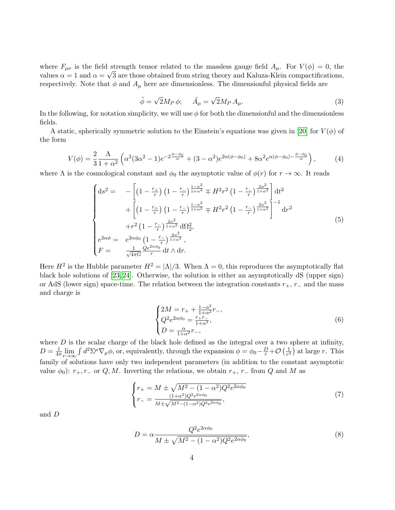where  $F_{\mu\nu}$  is the field strength tensor related to the massless gauge field  $A_{\mu}$ . For  $V(\phi) = 0$ , the values  $\alpha = 1$  and  $\alpha = \sqrt{3}$  are those obtained from string theory and Kaluza-Klein compactifications, respectively. Note that  $\phi$  and  $A_{\mu}$  here are dimensionless. The dimensionful physical fields are

<span id="page-3-4"></span>
$$
\tilde{\phi} = \sqrt{2}M_P \phi; \quad \tilde{A}_{\mu} = \sqrt{2}M_P A_{\mu}.
$$
\n(3)

In the following, for notation simplicity, we will use  $\phi$  for both the dimensionful and the dimensionless fields.

A static, spherically symmetric solution to the Einstein's equations was given in [\[20\]](#page-38-3) for  $V(\phi)$  of the form

$$
V(\phi) = \frac{2}{3} \frac{\Lambda}{1 + \alpha^2} \left( \alpha^2 (3\alpha^2 - 1)e^{-2\frac{\phi - \phi_0}{\alpha}} + (3 - \alpha^2)e^{2\alpha(\phi - \phi_0)} + 8\alpha^2 e^{\alpha(\phi - \phi_0) - \frac{\phi - \phi_0}{\alpha}} \right),\tag{4}
$$

where  $\Lambda$  is the cosmological constant and  $\phi_0$  the asymptotic value of  $\phi(r)$  for  $r \to \infty$ . It reads

<span id="page-3-0"></span>
$$
\begin{cases}\nds^{2} = -\left[\left(1 - \frac{r_{+}}{r}\right)\left(1 - \frac{r_{-}}{r}\right)^{\frac{1-\alpha^{2}}{1+\alpha^{2}}} \mp H^{2}r^{2}\left(1 - \frac{r_{-}}{r}\right)^{\frac{2\alpha^{2}}{1+\alpha^{2}}}\right]dt^{2} \\
+ \left[\left(1 - \frac{r_{+}}{r}\right)\left(1 - \frac{r_{-}}{r}\right)^{\frac{1-\alpha^{2}}{1+\alpha^{2}}} \mp H^{2}r^{2}\left(1 - \frac{r_{-}}{r}\right)^{\frac{2\alpha^{2}}{1+\alpha^{2}}}\right]^{-1} dr^{2} \\
+ r^{2}\left(1 - \frac{r_{-}}{r}\right)^{\frac{2\alpha^{2}}{1+\alpha^{2}}} d\Omega_{2}^{2}, \\
e^{2\alpha\phi} = e^{2\alpha\phi_{0}}\left(1 - \frac{r_{-}}{r}\right)^{\frac{2\alpha^{2}}{1+\alpha^{2}}}, \\
F = \frac{1}{\sqrt{4\pi G}}\frac{Qe^{2\alpha\phi_{0}}}{r} dt \wedge dr.\n\end{cases} \tag{5}
$$

Here  $H^2$  is the Hubble parameter  $H^2 = |\Lambda|/3$ . When  $\Lambda = 0$ , this reproduces the asymptotically flat black hole solutions of [\[23,](#page-38-5) [24\]](#page-38-6). Otherwise, the solution is either an asymptotically dS (upper sign) or AdS (lower sign) space-time. The relation between the integration constants  $r_{+}$ ,  $r_{-}$  and the mass and charge is

<span id="page-3-3"></span>
$$
\begin{cases} 2M = r_+ + \frac{1 - \alpha^2}{1 + \alpha^2} r_-, \\ Q^2 e^{2\alpha \phi_0} = \frac{r_+ r_-}{1 + \alpha^2}, \\ D = \frac{\alpha}{1 + \alpha^2} r_-, \end{cases} \tag{6}
$$

where  $D$  is the scalar charge of the black hole defined as the integral over a two sphere at infinity,  $D = \frac{1}{4\pi}$  $\frac{1}{4\pi}$ lim<sub>r→∞</sub>  $\int d^2\Sigma^{\mu}\nabla_{\mu}\phi$ , or, equivalently, through the expansion  $\phi = \phi_0 - \frac{D}{r} + \mathcal{O}\left(\frac{1}{r^2}\right)$  $\frac{1}{r^2}$  at large r. This family of solutions have only two independent parameters (in addition to the constant asymptotic value  $\phi_0$ :  $r_+, r_-$  or  $Q, M$ . Inverting the relations, we obtain  $r_+, r_-$  from  $Q$  and M as

<span id="page-3-1"></span>
$$
\begin{cases}\nr_{+} = M \pm \sqrt{M^{2} - (1 - \alpha^{2})Q^{2}e^{2\alpha\phi_{0}}}\n\\
r_{-} = \frac{(1 + \alpha^{2})Q^{2}e^{2\alpha\phi_{0}}}{M \pm \sqrt{M^{2} - (1 - \alpha^{2})Q^{2}e^{2\alpha\phi_{0}}}},\n\end{cases} (7)
$$

and D

<span id="page-3-2"></span>
$$
D = \alpha \frac{Q^2 e^{2\alpha \phi_0}}{M \pm \sqrt{M^2 - (1 - \alpha^2) Q^2 e^{2\alpha \phi_0}}},\tag{8}
$$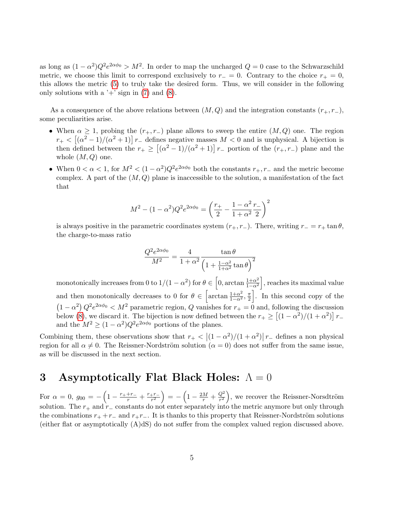as long as  $(1 - \alpha^2)Q^2 e^{2\alpha\phi_0} > M^2$ . In order to map the uncharged  $Q = 0$  case to the Schwarzschild metric, we choose this limit to correspond exclusively to  $r_-=0$ . Contrary to the choice  $r_+=0$ , this allows the metric [\(5\)](#page-3-0) to truly take the desired form. Thus, we will consider in the following only solutions with a  $+$  sign in [\(7\)](#page-3-1) and [\(8\)](#page-3-2).

As a consequence of the above relations between  $(M, Q)$  and the integration constants  $(r_+, r_-)$ , some peculiarities arise.

- When  $\alpha \geq 1$ , probing the  $(r_+, r_-)$  plane allows to sweep the entire  $(M, Q)$  one. The region  $r_{+} < \left[ (\alpha^{2} - 1)/(\alpha^{2} + 1) \right] r_{-}$  defines negative masses  $M < 0$  and is unphysical. A bijection is then defined between the  $r_+ \geq \left[ (\alpha^2 - 1)/(\alpha^2 + 1) \right] r_-$  portion of the  $(r_+, r_-)$  plane and the whole  $(M, Q)$  one.
- When  $0 < \alpha < 1$ , for  $M^2 < (1 \alpha^2)Q^2 e^{2\alpha\phi_0}$  both the constants  $r_+, r_-$  and the metric become complex. A part of the  $(M, Q)$  plane is inaccessible to the solution, a manifestation of the fact that

$$
M^{2} - (1 - \alpha^{2})Q^{2}e^{2\alpha\phi_{0}} = \left(\frac{r_{+}}{2} - \frac{1 - \alpha^{2}}{1 + \alpha^{2}}\frac{r_{-}}{2}\right)^{2}
$$

is always positive in the parametric coordinates system  $(r_+, r_-)$ . There, writing  $r_ - = r_+ \tan \theta$ , the charge-to-mass ratio

$$
\frac{Q^2 e^{2\alpha\phi_0}}{M^2} = \frac{4}{1+\alpha^2} \frac{\tan\theta}{\left(1 + \frac{1-\alpha^2}{1+\alpha^2}\tan\theta\right)^2}
$$

monotonically increases from 0 to  $1/(1-\alpha^2)$  for  $\theta \in \left[0, \arctan \frac{1+\alpha^2}{1-\alpha^2}\right]$  $\frac{1+\alpha^2}{1-\alpha^2}$ , reaches its maximal value and then monotonically decreases to 0 for  $\theta \in \left[\arctan \frac{1+\alpha^2}{1-\alpha^2}, \frac{\pi}{2}\right]$  $\frac{\pi}{2}$ . In this second copy of the  $(1 - \alpha^2) Q^2 e^{2\alpha \phi_0} < M^2$  parametric region, Q vanishes for  $r_+ = 0$  and, following the discussion below [\(8\)](#page-3-2), we discard it. The bijection is now defined between the  $r_+ \geq \left[ (1 - \alpha^2)/(1 + \alpha^2) \right] r_$ and the  $M^2 \ge (1 - \alpha^2) Q^2 e^{2\alpha \phi_0}$  portions of the planes.

Combining them, these observations show that  $r_+ < |(1-\alpha^2)/(1+\alpha^2)|r_-$  defines a non physical region for all  $\alpha \neq 0$ . The Reissner-Nordström solution  $(\alpha = 0)$  does not suffer from the same issue, as will be discussed in the next section.

## <span id="page-4-0"></span>3 Asymptotically Flat Black Holes:  $\Lambda = 0$

For  $\alpha = 0$ ,  $g_{00} = -\left(1 - \frac{r_+ + r_-}{r} + \frac{r_+ r_-}{r^2}\right)$  $\left(1-\frac{2M}{r}+\frac{Q^{2}}{r^{2}}\right)$  =  $-\left(1-\frac{2M}{r}+\frac{Q^{2}}{r^{2}}\right)$  $\left(\frac{Q^2}{r^2}\right)$ , we recover the Reissner-Norsdtröm solution. The  $r_+$  and  $r_-\$  constants do not enter separately into the metric anymore but only through the combinations  $r_{+} + r_{-}$  and  $r_{+}r_{-}$ . It is thanks to this property that Reissner-Nordström solutions (either flat or asymptotically (A)dS) do not suffer from the complex valued region discussed above.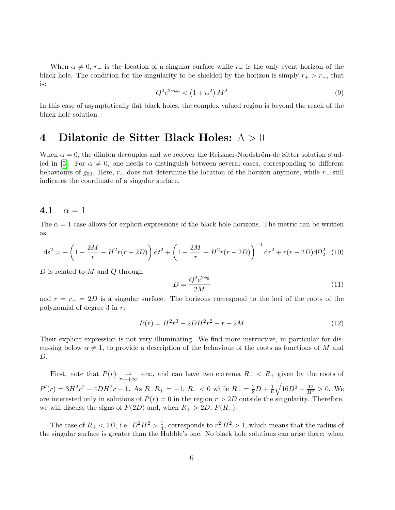When  $\alpha \neq 0$ , r<sub>−</sub> is the location of a singular surface while r<sub>+</sub> is the only event horizon of the black hole. The condition for the singularity to be shielded by the horizon is simply  $r_{+} > r_{-}$ , that is:

<span id="page-5-2"></span>
$$
Q^2 e^{2\alpha \phi_0} < \left(1 + \alpha^2\right) M^2 \tag{9}
$$

In this case of asymptotically flat black holes, the complex valued region is beyond the reach of the black hole solution.

### <span id="page-5-0"></span>4 Dilatonic de Sitter Black Holes: Λ > 0

When  $\alpha = 0$ , the dilaton decouples and we recover the Reissner-Nordström-de Sitter solution stud-ied in [\[5\]](#page-37-4). For  $\alpha \neq 0$ , one needs to distinguish between several cases, corresponding to different behaviours of  $g_{00}$ . Here,  $r_+$  does not determine the location of the horizon anymore, while  $r_-\$ still indicates the coordinate of a singular surface.

#### <span id="page-5-1"></span>4.1  $\alpha = 1$

The  $\alpha = 1$  case allows for explicit expressions of the black hole horizons. The metric can be written as

$$
ds^{2} = -\left(1 - \frac{2M}{r} - H^{2}r(r - 2D)\right)dt^{2} + \left(1 - \frac{2M}{r} - H^{2}r(r - 2D)\right)^{-1}dr^{2} + r(r - 2D)d\Omega_{2}^{2}.
$$
 (10)

D is related to M and Q through

$$
D = \frac{Q^2 e^{2\phi_0}}{2M}
$$
 (11)

and  $r = r_ - = 2D$  is a singular surface. The horizons correspond to the loci of the roots of the polynomial of degree 3 in r:

$$
P(r) = H^2r^3 - 2DH^2r^2 - r + 2M\tag{12}
$$

Their explicit expression is not very illuminating. We find more instructive, in particular for discussing below  $\alpha \neq 1$ , to provide a description of the behaviour of the roots as functions of M and D.

First, note that  $P(r) \rightarrow r \rightarrow +\infty$ , and can have two extrema  $R_{-} < R_{+}$  given by the roots of  $P'(r) = 3H^2r^2 - 4DH^2r - 1$ . As  $R_R_R = -1$ ,  $R_R = 0$  while  $R_R = \frac{2}{3}D + \frac{1}{6}$  $\frac{1}{6}\sqrt{16D^2+\frac{12}{H^2}}>0.$  We are interested only in solutions of  $P(r) = 0$  in the region  $r > 2D$  outside the singularity. Therefore, we will discuss the signs of  $P(2D)$  and, when  $R_+ > 2D$ ,  $P(R_+)$ .

The case of  $R_{+} < 2D$ , i.e.  $D^{2}H^{2} > \frac{1}{4}$  $\frac{1}{4}$ , corresponds to  $r_-^2 H^2 > 1$ , which means that the radius of the singular surface is greater than the Hubble's one. No black hole solutions can arise there: when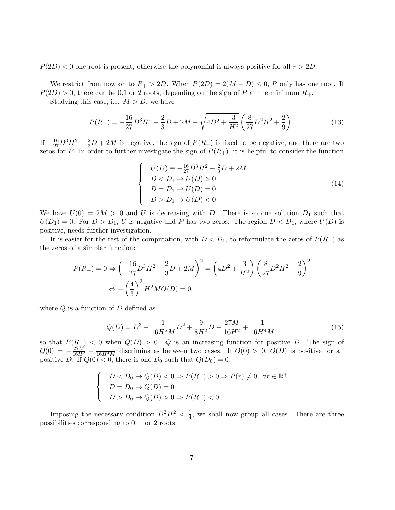$P(2D) < 0$  one root is present, otherwise the polynomial is always positive for all  $r > 2D$ .

We restrict from now on to  $R_+ > 2D$ . When  $P(2D) = 2(M - D) \leq 0$ , P only has one root. If  $P(2D) > 0$ , there can be 0,1 or 2 roots, depending on the sign of P at the minimum  $R_+$ .

Studying this case, i.e.  $M > D$ , we have

$$
P(R_{+}) = -\frac{16}{27}D^{3}H^{2} - \frac{2}{3}D + 2M - \sqrt{4D^{2} + \frac{3}{H^{2}}}\left(\frac{8}{27}D^{2}H^{2} + \frac{2}{9}\right). \tag{13}
$$

If  $-\frac{16}{27}D^3H^2 - \frac{2}{3}D + 2M$  is negative, the sign of  $P(R_+)$  is fixed to be negative, and there are two zeros for P. In order to further investigate the sign of  $P(R_{+})$ , it is helpful to consider the function

$$
\begin{cases}\nU(D) \equiv -\frac{16}{27}D^3H^2 - \frac{2}{3}D + 2M \\
D < D_1 \to U(D) > 0 \\
D = D_1 \to U(D) = 0 \\
D > D_1 \to U(D) < 0\n\end{cases}
$$
\n(14)

We have  $U(0) = 2M > 0$  and U is decreasing with D. There is so one solution  $D_1$  such that  $U(D_1) = 0$ . For  $D > D_1$ , U is negative and P has two zeros. The region  $D < D_1$ , where  $U(D)$  is positive, needs further investigation.

It is easier for the rest of the computation, with  $D < D_1$ , to reformulate the zeros of  $P(R_+)$  as the zeros of a simpler function:

$$
P(R_{+}) = 0 \Leftrightarrow \left(-\frac{16}{27}D^{3}H^{2} - \frac{2}{3}D + 2M\right)^{2} = \left(4D^{2} + \frac{3}{H^{2}}\right)\left(\frac{8}{27}D^{2}H^{2} + \frac{2}{9}\right)^{2}
$$

$$
\Leftrightarrow -\left(\frac{4}{3}\right)^{3}H^{2}MQ(D) = 0,
$$

where  $Q$  is a function of  $D$  defined as

$$
Q(D) = D^3 + \frac{1}{16H^2M}D^2 + \frac{9}{8H^2}D - \frac{27M}{16H^2} + \frac{1}{16H^4M},\tag{15}
$$

so that  $P(R_+) < 0$  when  $Q(D) > 0$ . Q is an increasing function for positive D. The sign of  $Q(0) = -\frac{27M}{16H^2} + \frac{1}{16H^4M}$  discriminates between two cases. If  $Q(0) > 0$ ,  $Q(D)$  is positive for all positive D. If  $Q(0) < 0$ , there is one  $D_0$  such that  $Q(D_0) = 0$ :

$$
\begin{cases}\nD < D_0 \to Q(D) < 0 \Rightarrow P(R_+) > 0 \Rightarrow P(r) \neq 0, \forall r \in \mathbb{R}^+ \\
D = D_0 \to Q(D) = 0 \\
D > D_0 \to Q(D) > 0 \Rightarrow P(R_+) < 0.\n\end{cases}
$$

Imposing the necessary condition  $D^2H^2 < \frac{1}{4}$  $\frac{1}{4}$ , we shall now group all cases. There are three possibilities corresponding to 0, 1 or 2 roots.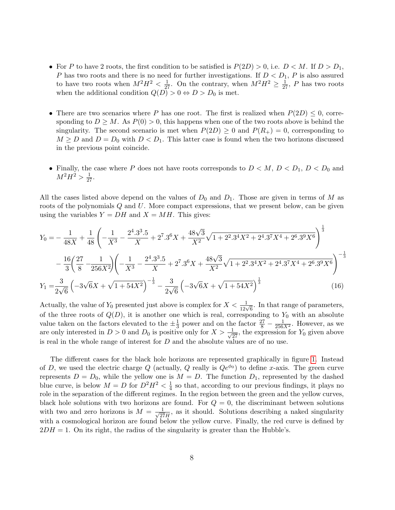- For P to have 2 roots, the first condition to be satisfied is  $P(2D) > 0$ , i.e.  $D < M$ . If  $D > D_1$ , P has two roots and there is no need for further investigations. If  $D < D_1$ , P is also assured to have two roots when  $M^2H^2 < \frac{1}{27}$ . On the contrary, when  $M^2H^2 \geq \frac{1}{27}$ , P has two roots when the additional condition  $Q(D) > 0 \Leftrightarrow D > D_0$  is met.
- There are two scenarios where P has one root. The first is realized when  $P(2D) \leq 0$ , corresponding to  $D \geq M$ . As  $P(0) > 0$ , this happens when one of the two roots above is behind the singularity. The second scenario is met when  $P(2D) \geq 0$  and  $P(R_{+}) = 0$ , corresponding to  $M \geq D$  and  $D = D_0$  with  $D < D_1$ . This latter case is found when the two horizons discussed in the previous point coincide.
- Finally, the case where P does not have roots corresponds to  $D < M$ ,  $D < D_1$ ,  $D < D_0$  and  $M^2H^2 > \frac{1}{27}.$

All the cases listed above depend on the values of  $D_0$  and  $D_1$ . Those are given in terms of M as roots of the polynomials Q and U. More compact expressions, that we present below, can be given using the variables  $Y = DH$  and  $X = MH$ . This gives:

$$
Y_0 = -\frac{1}{48X} + \frac{1}{48} \left( -\frac{1}{X^3} - \frac{2^4 \cdot 3^3 \cdot 5}{X} + 2^7 \cdot 3^6 X + \frac{48\sqrt{3}}{X^2} \sqrt{1 + 2^2 \cdot 3^4 X^2 + 2^4 \cdot 3^7 X^4 + 2^6 \cdot 3^9 X^6} \right)^{\frac{1}{3}}
$$

$$
- \frac{16}{3} \left( \frac{27}{8} - \frac{1}{256X^2} \right) \left( -\frac{1}{X^3} - \frac{2^4 \cdot 3^3 \cdot 5}{X} + 2^7 \cdot 3^6 X + \frac{48\sqrt{3}}{X^2} \sqrt{1 + 2^2 \cdot 3^4 X^2 + 2^4 \cdot 3^7 X^4 + 2^6 \cdot 3^9 X^6} \right)^{-\frac{1}{3}}
$$

$$
Y_1 = \frac{3}{2\sqrt{6}} \left( -3\sqrt{6}X + \sqrt{1 + 54X^2} \right)^{-\frac{1}{3}} - \frac{3}{2\sqrt{6}} \left( -3\sqrt{6}X + \sqrt{1 + 54X^2} \right)^{\frac{1}{3}} \tag{16}
$$

Actually, the value of  $Y_0$  presented just above is complex for  $X < \frac{1}{12\sqrt{6}}$ . In that range of parameters, of the three roots of  $Q(D)$ , it is another one which is real, corresponding to  $Y_0$  with an absolute value taken on the factors elevated to the  $\pm \frac{1}{3}$  $\frac{1}{3}$  power and on the factor  $\frac{27}{8} - \frac{1}{256X^2}$ . However, as we are only interested in  $D > 0$  and  $D_0$  is positive only for  $X > \frac{1}{\sqrt{27}}$ , the expression for  $Y_0$  given above is real in the whole range of interest for  $D$  and the absolute values are of no use.

The different cases for the black hole horizons are represented graphically in figure [1.](#page-8-0) Instead of D, we used the electric charge Q (actually, Q really is  $Qe^{\phi_0}$ ) to define x-axis. The green curve represents  $D = D_0$ , while the yellow one is  $M = D$ . The function  $D_1$ , represented by the dashed blue curve, is below  $M = D$  for  $D^2H^2 < \frac{1}{4}$  $\frac{1}{4}$  so that, according to our previous findings, it plays no role in the separation of the different regimes. In the region between the green and the yellow curves, black hole solutions with two horizons are found. For  $Q = 0$ , the discriminant between solutions with two and zero horizons is  $M = \frac{1}{\sqrt{25}}$  $\frac{1}{27H}$ , as it should. Solutions describing a naked singularity with a cosmological horizon are found below the yellow curve. Finally, the red curve is defined by  $2DH = 1$ . On its right, the radius of the singularity is greater than the Hubble's.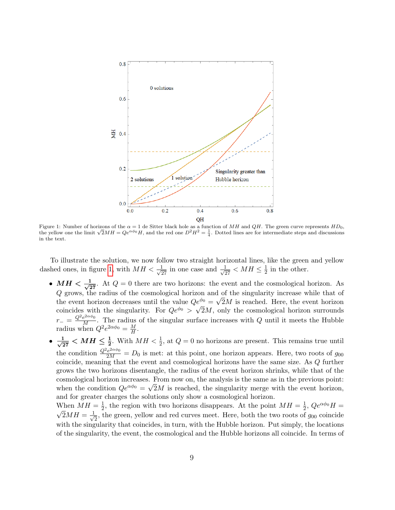<span id="page-8-0"></span>

Figure 1: Number of horizons of the  $\alpha = 1$  de Sitter black hole as a function of MH and QH. The green curve represents  $HD_0$ , the yellow one the limit  $\sqrt{2}MH = Qe^{\alpha\phi_0}H$ , and the red one  $D^2H^2 = \frac{1}{4}$ . Dotted lines in the text.

To illustrate the solution, we now follow two straight horizontal lines, like the green and yellow dashed ones, in figure [1,](#page-8-0) with  $MH < \frac{1}{\sqrt{27}}$  in one case and  $\frac{1}{\sqrt{27}} < MH \leq \frac{1}{2}$  $\frac{1}{2}$  in the other.

- $MH < \frac{1}{\sqrt{2}}$  $\frac{1}{27}$ . At  $Q = 0$  there are two horizons: the event and the cosmological horizon. As Q grows, the radius of the cosmological horizon and of the singularity increase while that of the event horizon decreases until the value  $Qe^{\phi_0} = \sqrt{2}M$  is reached. Here, the event horizon coincides with the singularity. For  $Qe^{\phi_0} > \sqrt{2}M$ , only the cosmological horizon surrounds  $r_-\equiv \frac{Q^2e^{2\alpha\phi_0}}{M}$ . The radius of the singular surface increases with Q until it meets the Hubble radius when  $Q^2 e^{2\alpha \phi_0} = \frac{M}{H}$  $\frac{M}{H}$  .
- $\bullet \frac{1}{\sqrt{2}}$  $\frac{1}{27}$   $\lt M H \le \frac{1}{2}$ . With  $MH < \frac{1}{2}$ , at  $Q = 0$  no horizons are present. This remains true until the condition  $\frac{Q^2e^{2\alpha\phi_0}}{2M} = D_0$  is met: at this point, one horizon appears. Here, two roots of  $g_{00}$ coincide, meaning that the event and cosmological horizons have the same size. As Q further grows the two horizons disentangle, the radius of the event horizon shrinks, while that of the cosmological horizon increases. From now on, the analysis is the same as in the previous point: when the condition  $Qe^{\alpha\phi_0} = \sqrt{2}M$  is reached, the singularity merge with the event horizon, and for greater charges the solutions only show a cosmological horizon.

When  $MH = \frac{1}{2}$  $\frac{1}{2}$ , the region with two horizons disappears. At the point  $MH = \frac{1}{2}$ When  $MH = \frac{1}{2}$ , the region with two horizons disappears. At the point  $MH = \frac{1}{2}$ ,  $Qe^{\alpha\phi}H = \frac{1}{2}$  $\overline{2}MH=\frac{1}{4}$  $\frac{1}{2}$ , the green, yellow and red curves meet. Here, both the two roots of  $g_{00}$  coincide with the singularity that coincides, in turn, with the Hubble horizon. Put simply, the locations of the singularity, the event, the cosmological and the Hubble horizons all coincide. In terms of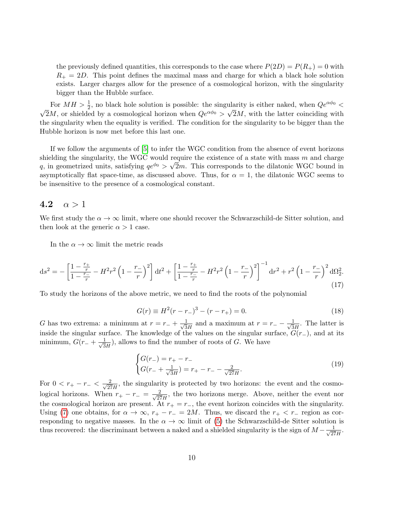the previously defined quantities, this corresponds to the case where  $P(2D) = P(R_+) = 0$  with  $R_{+} = 2D$ . This point defines the maximal mass and charge for which a black hole solution exists. Larger charges allow for the presence of a cosmological horizon, with the singularity bigger than the Hubble surface.

For  $MH > \frac{1}{2}$ , no black hole solution is possible: the singularity is either naked, when  $Qe^{\alpha\phi_0} <$  $\sqrt{2}M$ , or shielded by a cosmological horizon when  $Qe^{\alpha\phi_0} > \sqrt{2}M$ , with the latter coinciding with the singularity when the equality is verified. The condition for the singularity to be bigger than the Hubble horizon is now met before this last one.

If we follow the arguments of [\[5\]](#page-37-4) to infer the WGC condition from the absence of event horizons shielding the singularity, the WGC would require the existence of a state with mass m and charge q, in geometrized units, satisfying  $qe^{\phi_0} > \sqrt{2}m$ . This corresponds to the dilatonic WGC bound in asymptotically flat space-time, as discussed above. Thus, for  $\alpha = 1$ , the dilatonic WGC seems to be insensitive to the presence of a cosmological constant.

#### <span id="page-9-0"></span>4.2  $\alpha > 1$

We first study the  $\alpha \to \infty$  limit, where one should recover the Schwarzschild-de Sitter solution, and then look at the generic  $\alpha > 1$  case.

In the  $\alpha \to \infty$  limit the metric reads

$$
\mathrm{d}s^{2} = -\left[\frac{1-\frac{r_{+}}{r}}{1-\frac{r_{-}}{r}} - H^{2}r^{2}\left(1-\frac{r_{-}}{r}\right)^{2}\right]\mathrm{d}t^{2} + \left[\frac{1-\frac{r_{+}}{r}}{1-\frac{r_{-}}{r}} - H^{2}r^{2}\left(1-\frac{r_{-}}{r}\right)^{2}\right]^{-1}\mathrm{d}r^{2} + r^{2}\left(1-\frac{r_{-}}{r}\right)^{2}\mathrm{d}\Omega_{2}^{2}.\tag{17}
$$

To study the horizons of the above metric, we need to find the roots of the polynomial

$$
G(r) \equiv H^2(r - r_-)^3 - (r - r_+) = 0.
$$
 (18)

G has two extrema: a minimum at  $r = r_+ + \frac{1}{\sqrt{2}}$  $\frac{1}{3H}$  and a maximum at  $r = r_- - \frac{1}{\sqrt{3}}$  $\frac{1}{3H}$ . The latter is inside the singular surface. The knowledge of the values on the singular surface,  $G(r_+)$ , and at its minimum,  $G(r_{-} + \frac{1}{\sqrt{3}})$  $\frac{1}{3H}$ ), allows to find the number of roots of G. We have

$$
\begin{cases}\nG(r_{-}) = r_{+} - r_{-} \\
G(r_{-} + \frac{1}{\sqrt{3}H}) = r_{+} - r_{-} - \frac{2}{\sqrt{27}H}.\n\end{cases}
$$
\n(19)

For  $0 < r_+ - r_- < \frac{2}{\sqrt{2}}$  $\frac{2}{27H}$ , the singularity is protected by two horizons: the event and the cosmological horizons. When  $r_+ - r_- = \frac{2}{\sqrt{27}}$  $\frac{2}{27H}$ , the two horizons merge. Above, neither the event nor the cosmological horizon are present. At  $r_{+} = r_{-}$ , the event horizon coincides with the singularity. Using [\(7\)](#page-3-1) one obtains, for  $\alpha \to \infty$ ,  $r_+ - r_- = 2M$ . Thus, we discard the  $r_+ < r_-$  region as corresponding to negative masses. In the  $\alpha \to \infty$  limit of [\(5\)](#page-3-0) the Schwarzschild-de Sitter solution is thus recovered: the discriminant between a naked and a shielded singularity is the sign of  $M - \frac{1}{\sqrt{2}}$  $\frac{1}{27H}$ .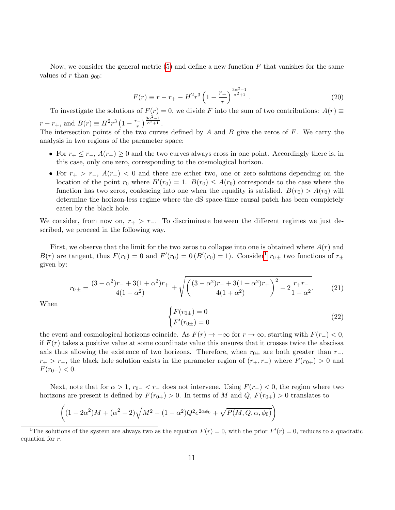Now, we consider the general metric  $(5)$  and define a new function F that vanishes for the same values of r than  $q_{00}$ :

<span id="page-10-1"></span>
$$
F(r) \equiv r - r_+ - H^2 r^3 \left( 1 - \frac{r_-}{r} \right)^{\frac{3\alpha^2 - 1}{\alpha^2 + 1}}.
$$
\n(20)

To investigate the solutions of  $F(r) = 0$ , we divide F into the sum of two contributions:  $A(r) \equiv$  $r - r_+$ , and  $B(r) \equiv H^2 r^3 (1 - \frac{r_-}{r})$  $\left(\frac{1}{r}\right)^{\frac{3\alpha^2-1}{\alpha^2+1}}$  $\frac{\alpha^2+1}{\alpha}$ .

The intersection points of the two curves defined by  $A$  and  $B$  give the zeros of  $F$ . We carry the analysis in two regions of the parameter space:

- For  $r_+ \leq r_-, A(r_-) \geq 0$  and the two curves always cross in one point. Accordingly there is, in this case, only one zero, corresponding to the cosmological horizon.
- For  $r_{+} > r_{-}$ ,  $A(r_{-}) < 0$  and there are either two, one or zero solutions depending on the location of the point  $r_0$  where  $B'(r_0) = 1$ .  $B(r_0) \leq A(r_0)$  corresponds to the case where the function has two zeros, coalescing into one when the equality is satisfied.  $B(r_0) > A(r_0)$  will determine the horizon-less regime where the dS space-time causal patch has been completely eaten by the black hole.

We consider, from now on,  $r_{+} > r_{-}$ . To discriminate between the different regimes we just described, we proceed in the following way.

First, we observe that the limit for the two zeros to collapse into one is obtained where  $A(r)$  and  $B(r)$  are tangent, thus  $F(r_0) = 0$  and  $F'(r_0) = 0$   $(B'(r_0) = 1)$  $(B'(r_0) = 1)$  $(B'(r_0) = 1)$ . Consider<sup>1</sup>  $r_{0}$  two functions of  $r_{\pm}$ given by:

<span id="page-10-2"></span>
$$
r_{0\pm} = \frac{(3-\alpha^2)r_{-} + 3(1+\alpha^2)r_{+}}{4(1+\alpha^2)} \pm \sqrt{\left(\frac{(3-\alpha^2)r_{-} + 3(1+\alpha^2)r_{+}}{4(1+\alpha^2)}\right)^2 - 2\frac{r_{+}r_{-}}{1+\alpha^2}}.
$$
 (21)

When

$$
\begin{cases}\nF(r_{0\pm}) = 0 \\
F'(r_{0\pm}) = 0\n\end{cases}
$$
\n(22)

the event and cosmological horizons coincide. As  $F(r) \to -\infty$  for  $r \to \infty$ , starting with  $F(r_{-}) < 0$ , if  $F(r)$  takes a positive value at some coordinate value this ensures that it crosses twice the abscissa axis thus allowing the existence of two horizons. Therefore, when  $r_{0\pm}$  are both greater than  $r_{-}$ ,  $r_{+} > r_{-}$ , the black hole solution exists in the parameter region of  $(r_{+}, r_{-})$  where  $F(r_{0+}) > 0$  and  $F(r_{0-}) < 0.$ 

Next, note that for  $\alpha > 1$ ,  $r_{0-} < r_{-}$  does not intervene. Using  $F(r_{-}) < 0$ , the region where two horizons are present is defined by  $F(r_{0+}) > 0$ . In terms of M and  $Q, F(r_{0+}) > 0$  translates to

$$
\left( (1 - 2\alpha^2)M + (\alpha^2 - 2)\sqrt{M^2 - (1 - \alpha^2)Q^2 e^{2\alpha \phi_0}} + \sqrt{P(M, Q, \alpha, \phi_0)} \right)
$$

<span id="page-10-0"></span><sup>&</sup>lt;sup>1</sup>The solutions of the system are always two as the equation  $F(r) = 0$ , with the prior  $F'(r) = 0$ , reduces to a quadratic equation for r.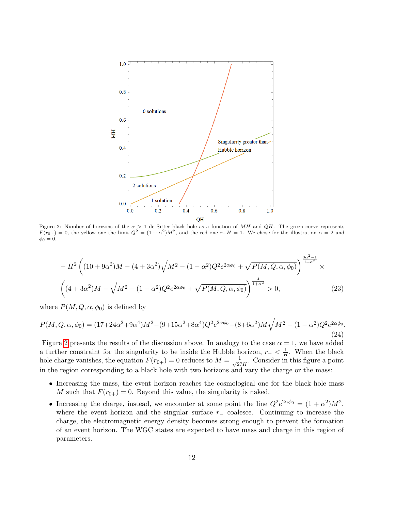<span id="page-11-0"></span>

Figure 2: Number of horizons of the  $\alpha > 1$  de Sitter black hole as a function of MH and QH. The green curve represents  $F(r_{0+}) = 0$ , the yellow one the limit  $Q^2 = (1 + \alpha^2)M^2$ , and the red one  $r-H = 1$ . We chose for the illustration  $\alpha = 2$  and  $\phi_0 = 0.$ 

$$
-H^{2}\left((10+9\alpha^{2})M - (4+3\alpha^{2})\sqrt{M^{2} - (1-\alpha^{2})Q^{2}e^{2\alpha\phi_{0}}} + \sqrt{P(M,Q,\alpha,\phi_{0})}\right)^{\frac{3\alpha^{2}-1}{1+\alpha^{2}}}\times
$$

$$
\left((4+3\alpha^{2})M - \sqrt{M^{2} - (1-\alpha^{2})Q^{2}e^{2\alpha\phi_{0}}} + \sqrt{P(M,Q,\alpha,\phi_{0})}\right)^{\frac{4}{1+\alpha^{2}}} > 0,
$$
(23)

where  $P(M, Q, \alpha, \phi_0)$  is defined by

$$
P(M, Q, \alpha, \phi_0) = (17 + 24\alpha^2 + 9\alpha^4)M^2 - (9 + 15\alpha^2 + 8\alpha^4)Q^2e^{2\alpha\phi_0} - (8 + 6\alpha^2)M\sqrt{M^2 - (1 - \alpha^2)Q^2e^{2\alpha\phi_0}}.
$$
\n(24)

Figure [2](#page-11-0) presents the results of the discussion above. In analogy to the case  $\alpha = 1$ , we have added a further constraint for the singularity to be inside the Hubble horizon,  $r_- < \frac{1}{H}$  $\frac{1}{H}$ . When the black hole charge vanishes, the equation  $F(r_{0+}) = 0$  reduces to  $M = \frac{1}{\sqrt{27}}$  $\frac{1}{27H}$ . Consider in this figure a point in the region corresponding to a black hole with two horizons and vary the charge or the mass:

- Increasing the mass, the event horizon reaches the cosmological one for the black hole mass M such that  $F(r_{0+}) = 0$ . Beyond this value, the singularity is naked.
- Increasing the charge, instead, we encounter at some point the line  $Q^2 e^{2\alpha\phi_0} = (1 + \alpha^2)M^2$ , where the event horizon and the singular surface  $r_-\$  coalesce. Continuing to increase the charge, the electromagnetic energy density becomes strong enough to prevent the formation of an event horizon. The WGC states are expected to have mass and charge in this region of parameters.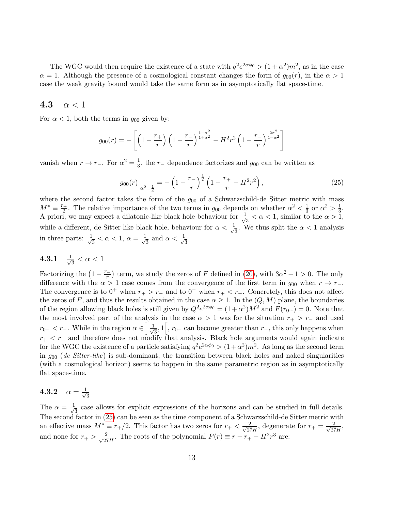The WGC would then require the existence of a state with  $q^2 e^{2\alpha \phi_0} > (1 + \alpha^2) m^2$ , as in the case  $\alpha = 1$ . Although the presence of a cosmological constant changes the form of  $q_{00}(r)$ , in the  $\alpha > 1$ case the weak gravity bound would take the same form as in asymptotically flat space-time.

#### <span id="page-12-0"></span>4.3  $\alpha < 1$

For  $\alpha < 1$ , both the terms in  $g_{00}$  given by:

$$
g_{00}(r) = -\left[ \left( 1 - \frac{r_+}{r} \right) \left( 1 - \frac{r_-}{r} \right)^{\frac{1-\alpha^2}{1+\alpha^2}} - H^2 r^2 \left( 1 - \frac{r_-}{r} \right)^{\frac{2\alpha^2}{1+\alpha^2}} \right]
$$

vanish when  $r \to r_-\text{.}$  For  $\alpha^2 = \frac{1}{3}$  $\frac{1}{3}$ , the r<sub>-</sub> dependence factorizes and  $g_{00}$  can be written as

<span id="page-12-3"></span>
$$
g_{00}(r)\Big|_{\alpha^2=\frac{1}{3}} = -\left(1 - \frac{r_{-}}{r}\right)^{\frac{1}{2}} \left(1 - \frac{r_{+}}{r} - H^2 r^2\right),\tag{25}
$$

where the second factor takes the form of the  $g_{00}$  of a Schwarzschild-de Sitter metric with mass  $M^* \equiv \frac{r_+}{2}$  $\frac{1}{2}$ . The relative importance of the two terms in  $g_{00}$  depends on whether  $\alpha^2 < \frac{1}{3}$  $\frac{1}{3}$  or  $\alpha^2 > \frac{1}{3}$  $\frac{1}{3}$ . A priori, we may expect a dilatonic-like black hole behaviour for  $\frac{1}{\sqrt{2}}$  $\frac{1}{3} < \alpha < 1$ , similar to the  $\alpha > 1$ , while a different, de Sitter-like black hole, behaviour for  $\alpha < \frac{1}{\sqrt{2}}$  $\frac{1}{3}$ . We thus split the  $\alpha < 1$  analysis in three parts:  $\frac{1}{\sqrt{2}}$  $\frac{1}{3} < \alpha < 1, \ \alpha = \frac{1}{\sqrt{2}}$  $\frac{1}{3}$  and  $\alpha < \frac{1}{\sqrt{3}}$  $\frac{1}{3}$ .

<span id="page-12-1"></span>
$$
4.3.1 \quad \tfrac{1}{\sqrt{3}} < \alpha < 1
$$

Factorizing the  $\left(1 - \frac{r_{-}}{r_{-}}\right)$  $\left(\frac{r}{r}\right)$  term, we study the zeros of F defined in [\(20\)](#page-10-1), with  $3\alpha^2 - 1 > 0$ . The only difference with the  $\alpha > 1$  case comes from the convergence of the first term in  $g_{00}$  when  $r \to r_-\$ . The convergence is to  $0^+$  when  $r_+ > r_-$  and to  $0^-$  when  $r_+ < r_-$ . Concretely, this does not affect the zeros of F, and thus the results obtained in the case  $\alpha \geq 1$ . In the  $(Q, M)$  plane, the boundaries of the region allowing black holes is still given by  $Q^2 e^{2\alpha \phi_0} = (1 + \alpha^2) M^2$  and  $F(r_{0+}) = 0$ . Note that the most involved part of the analysis in the case  $\alpha > 1$  was for the situation  $r_{+} > r_{-}$  and used  $r_{0-} < r_-\text{.}$  While in the region  $\alpha \in \left[\frac{1}{\sqrt{2}}\right]$  $\frac{1}{3}$ , 1 $\left[$ ,  $r_{0-}$  can become greater than  $r_$ , this only happens when  $r_{+}$  <  $r_{-}$  and therefore does not modify that analysis. Black hole arguments would again indicate for the WGC the existence of a particle satisfying  $q^2 e^{2\alpha \phi_0} > (1+\alpha^2)m^2$ . As long as the second term in  $g_{00}$  (de Sitter-like) is sub-dominant, the transition between black holes and naked singularities (with a cosmological horizon) seems to happen in the same parametric region as in asymptotically flat space-time.

#### <span id="page-12-2"></span>4.3.2  $\alpha = \frac{1}{\sqrt{2}}$ 3

The  $\alpha = \frac{1}{\sqrt{2}}$  $\frac{1}{3}$  case allows for explicit expressions of the horizons and can be studied in full details. The second factor in [\(25\)](#page-12-3) can be seen as the time component of a Schwarzschild-de Sitter metric with an effective mass  $M^* \equiv r_+/2$ . This factor has two zeros for  $r_+ < \frac{2}{\sqrt{27}}$  $\frac{2}{27H}$ , degenerate for  $r_+ = \frac{2}{\sqrt{27}}$  $\frac{2}{27H}$ and none for  $r_+ > \frac{2}{\sqrt{25}}$  $\frac{2}{27H}$ . The roots of the polynomial  $P(r) \equiv r - r_+ - H^2 r^3$  are: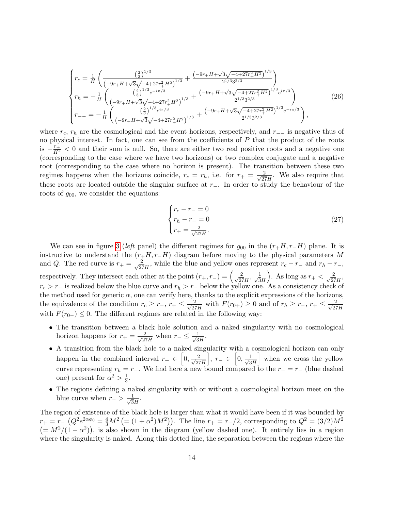$$
\begin{cases}\nr_c = \frac{1}{H} \left( \frac{\left(\frac{2}{3}\right)^{1/3}}{\left(-9r + H + \sqrt{3}\sqrt{-4 + 27r_+^2 H^2}\right)^{1/3}} + \frac{\left(-9r + H + \sqrt{3}\sqrt{-4 + 27r_+^2 H^2}\right)^{1/3}}{2^{1/3}3^{2/3}} \right) \\
r_h = -\frac{1}{H} \left( \frac{\left(\frac{2}{3}\right)^{1/3} e^{-i\pi/3}}{\left(-9r + H + \sqrt{3}\sqrt{-4 + 27r_+^2 H^2}\right)^{1/3}} + \frac{\left(-9r + H + \sqrt{3}\sqrt{-4 + 27r_+^2 H^2}\right)^{1/3} e^{i\pi/3}}{2^{1/3}3^{2/3}} \right) \\
r_{--} = -\frac{1}{H} \left( \frac{\left(\frac{2}{3}\right)^{1/3} e^{i\pi/3}}{\left(-9r + H + \sqrt{3}\sqrt{-4 + 27r_+^2 H^2}\right)^{1/3}} + \frac{\left(-9r + H + \sqrt{3}\sqrt{-4 + 27r_+^2 H^2}\right)^{1/3} e^{-i\pi/3}}{2^{1/3}3^{2/3}} \right),\n\end{cases}\n\tag{26}
$$

where  $r_c$ ,  $r_h$  are the cosmological and the event horizons, respectively, and  $r_−$  is negative thus of no physical interest. In fact, one can see from the coefficients of  $P$  that the product of the roots is  $-\frac{r_+}{H^2}$  < 0 and their sum is null. So, there are either two real positive roots and a negative one (corresponding to the case where we have two horizons) or two complex conjugate and a negative root (corresponding to the case where no horizon is present). The transition between these two regimes happens when the horizons coincide,  $r_c = r_h$ , i.e. for  $r_+ = \frac{2}{\sqrt{25}}$  $\frac{2}{27H}$ . We also require that these roots are located outside the singular surface at r−. In order to study the behaviour of the roots of  $g_{00}$ , we consider the equations:

<span id="page-13-0"></span>
$$
\begin{cases}\nr_c - r_- = 0\\ \nr_h - r_- = 0\\ r_+ = \frac{2}{\sqrt{27}H}.\n\end{cases}
$$
\n(27)

We can see in figure [3](#page-14-0) (left panel) the different regimes for  $g_{00}$  in the  $(r_+H, r_-H)$  plane. It is instructive to understand the  $(r_+H, r_-H)$  diagram before moving to the physical parameters M and Q. The red curve is  $r_{+} = \frac{2}{\sqrt{2}}$  $\frac{2}{27H}$ , while the blue and yellow ones represent  $r_c - r_-$  and  $r_h - r_-$ , respectively. They intersect each other at the point  $(r_+, r_-) = \left(\frac{2}{\sqrt{2}}\right)^{3}$  $\frac{2}{27H}, \frac{1}{\sqrt{3}}$ 3H ). As long as  $r_+ < \frac{2}{\sqrt{27}}$  $rac{2}{27H}$  $r_c > r_-\text{ is realized below the blue curve and } r_h > r_-\text{ below the yellow one. As a consistency check of } \frac{r}{r}$ the method used for generic  $\alpha$ , one can verify here, thanks to the explicit expressions of the horizons, the equivalence of the condition  $r_c \geq r_-, r_+ \leq \frac{2}{\sqrt{2r}}$  $\frac{2}{27H}$  with  $F(r_{0+}) \ge 0$  and of  $r_h \ge r_-, r_+ \le \frac{2}{\sqrt{27}}$ 27H with  $F(r_{0-}) \leq 0$ . The different regimes are related in the following way:

- The transition between a black hole solution and a naked singularity with no cosmological horizon happens for  $r_+ = \frac{2}{\sqrt{25}}$  $\frac{2}{27H}$  when  $r_{-} \leq \frac{1}{\sqrt{3}}$  $\frac{1}{3H}$ .
- A transition from the black hole to a naked singularity with a cosmological horizon can only happen in the combined interval  $r_+ \in [0, \frac{2}{\sqrt{2}}]$ 27H  $\Big\}, r_-\in \Big[0, \frac{1}{\sqrt{2}}\Big]$  $3H$ when we cross the yellow curve representing  $r_h = r_-\$ . We find here a new bound compared to the  $r_+ = r_-\$  (blue dashed one) present for  $\alpha^2 > \frac{1}{3}$  $\frac{1}{3}$ .
- The regions defining a naked singularity with or without a cosmological horizon meet on the blue curve when  $r_{-} > \frac{1}{\sqrt{3}}$  $\frac{1}{3H}$ .

The region of existence of the black hole is larger than what it would have been if it was bounded by  $r_{+} = r_{-} (Q^{2} e^{2\alpha\phi_{0}} = \frac{4}{3} M^{2} (= (1 + \alpha^{2}) M^{2}))$ . The line  $r_{+} = r_{-}/2$ , corresponding to  $Q^{2} = (3/2) M^{2}$  $(= M^2/(1 - \alpha^2))$ , is also shown in the diagram (yellow dashed one). It entirely lies in a region where the singularity is naked. Along this dotted line, the separation between the regions where the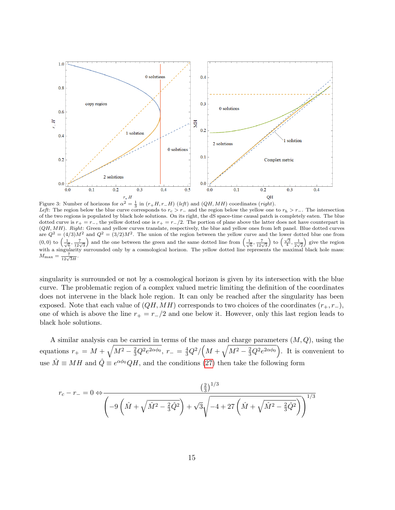<span id="page-14-0"></span>

Figure 3: Number of horizons for  $\alpha^2 = \frac{1}{3}$  in  $(r_+H, r_-H)$  (left) and (QH, MH) coordinates (right). Left: The region below the blue curve corresponds to  $r_c > r_-\,$  and the region below the yellow one to  $r_h > r_-\,$ . The intersection of the two regions is populated by black hole solutions. On its right, the dS space-time causal patch is completely eaten. The blue dotted curve is  $r_{+} = r_{-}$ , the yellow dotted one is  $r_{+} = r_{-}/2$ . The portion of plane above the latter does not have counterpart in  $(QH, MH)$ . Right: Green and yellow curves translate, respectively, the blue and yellow ones from left panel. Blue dotted curves are  $Q^2 = (4/3)M^2$  and  $Q^2 = (3/2)M^2$ . The union of the region between the yellow curve and the lower dotted blue one from (0, 0) to  $\left(\frac{1}{\sqrt{6}}, \frac{7}{12\sqrt{3}}\right)$  and the one between the green and the same dotted line from  $\left(\frac{1}{\sqrt{6}}, \frac{7}{12\sqrt{3}}\right)$  to  $\left(\frac{\sqrt{3}}{4}, \frac{1}{2\sqrt{2}}\right)$  give the region with a singularity surrounded only by a cosmological horizon. The yellow dotted line represents the maximal black hole mass:  $M_{\rm max} = \frac{7}{12\sqrt{3}H}$ .

singularity is surrounded or not by a cosmological horizon is given by its intersection with the blue curve. The problematic region of a complex valued metric limiting the definition of the coordinates does not intervene in the black hole region. It can only be reached after the singularity has been exposed. Note that each value of  $(QH, MH)$  corresponds to two choices of the coordinates  $(r_+, r_-)$ , one of which is above the line  $r_{+} = r_{-}/2$  and one below it. However, only this last region leads to black hole solutions.

A similar analysis can be carried in terms of the mass and charge parameters  $(M, Q)$ , using the equations  $r_+ = M + \sqrt{M^2 - \frac{2}{3}Q^2e^{2\alpha\phi_0}}, r_- = \frac{4}{3}Q^2/\left(M + \sqrt{M^2 - \frac{2}{3}Q^2e^{2\alpha\phi_0}}\right)$ . It is convenient to use  $\hat{M} \equiv MH$  and  $\hat{Q} \equiv e^{\alpha\phi_0}QH$ , and the conditions [\(27\)](#page-13-0) then take the following form

$$
r_c - r_- = 0 \Leftrightarrow \frac{\left(\frac{2}{3}\right)^{1/3}}{\left(-9\left(\hat{M} + \sqrt{\hat{M}^2 - \frac{2}{3}\hat{Q}^2}\right) + \sqrt{3}\sqrt{-4 + 27\left(\hat{M} + \sqrt{\hat{M}^2 - \frac{2}{3}\hat{Q}^2}\right)}\right)^{1/3}}
$$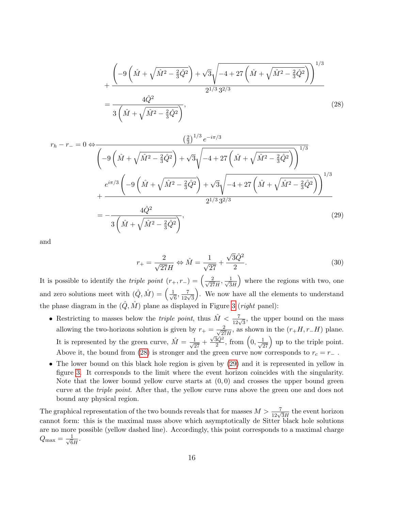$$
+\frac{\left(-9\left(\hat{M}+\sqrt{\hat{M}^{2}-\frac{2}{3}\hat{Q}^{2}}\right)+\sqrt{3}\sqrt{-4+27\left(\hat{M}+\sqrt{\hat{M}^{2}-\frac{2}{3}\hat{Q}^{2}}\right)}\right)^{1/3}}{2^{1/3}3^{2/3}}
$$
\n
$$
=\frac{4\hat{Q}^{2}}{3\left(\hat{M}+\sqrt{\hat{M}^{2}-\frac{2}{3}\hat{Q}^{2}}\right)},
$$
\n(28)

$$
r_h - r_- = 0 \Leftrightarrow \frac{\left(\frac{2}{3}\right)^{1/3} e^{-i\pi/3}}{\left(-9\left(\hat{M} + \sqrt{\hat{M}^2 - \frac{2}{3}\hat{Q}^2}\right) + \sqrt{3}\sqrt{-4 + 27\left(\hat{M} + \sqrt{\hat{M}^2 - \frac{2}{3}\hat{Q}^2}\right)}\right)^{1/3}} \n\frac{e^{i\pi/3}\left(-9\left(\hat{M} + \sqrt{\hat{M}^2 - \frac{2}{3}\hat{Q}^2}\right) + \sqrt{3}\sqrt{-4 + 27\left(\hat{M} + \sqrt{\hat{M}^2 - \frac{2}{3}\hat{Q}^2}\right)}\right)^{1/3} \n+ \frac{4\hat{Q}^2}{3\left(\hat{M} + \sqrt{\hat{M}^2 - \frac{2}{3}\hat{Q}^2}\right)},
$$
\n(29)

and

<span id="page-15-1"></span><span id="page-15-0"></span>
$$
r_{+} = \frac{2}{\sqrt{27}H} \Leftrightarrow \hat{M} = \frac{1}{\sqrt{27}} + \frac{\sqrt{3}\hat{Q}^2}{2}.
$$
 (30)

It is possible to identify the *triple point*  $(r_{+}, r_{-}) = \left(\frac{2}{\sqrt{2r}}\right)^{1/2}$  $\frac{2}{27H}, \frac{1}{\sqrt{3}}$  $3H$  where the regions with two, one and zero solutions meet with  $(\hat{Q}, \hat{M}) = \begin{pmatrix} 1 \\ 1 \end{pmatrix}$  $\frac{7}{6}$ ,  $\frac{7}{12\sqrt{3}}$  . We now have all the elements to understand the phase diagram in the  $(\hat{Q}, \hat{M})$  plane as displayed in Figure [3](#page-14-0) (*right* panel):

- Restricting to masses below the *triple point*, thus  $\hat{M} < \frac{7}{12\sqrt{3}}$ , the upper bound on the mass allowing the two-horizons solution is given by  $r_{+} = \frac{2}{\sqrt{27}}$  $\frac{2}{27H}$ , as shown in the  $(r_+H, r_-H)$  plane. It is represented by the green curve,  $\hat{M} = \frac{1}{\sqrt{27}} +$  $\sqrt{3}\hat{Q}^2$  $\frac{\bar{3}\hat{Q}^2}{2}$ , from  $\left(0, \frac{1}{\sqrt{27}}\right)$  up to the triple point. Above it, the bound from [\(28\)](#page-15-0) is stronger and the green curve now corresponds to  $r_c = r_-\,$  .
- The lower bound on this black hole region is given by  $(29)$  and it is represented in yellow in figure [3.](#page-14-0) It corresponds to the limit where the event horizon coincides with the singularity. Note that the lower bound yellow curve starts at  $(0,0)$  and crosses the upper bound green curve at the *triple point*. After that, the yellow curve runs above the green one and does not bound any physical region.

The graphical representation of the two bounds reveals that for masses  $M > \frac{7}{12\sqrt{3}H}$  the event horizon cannot form: this is the maximal mass above which asymptotically de Sitter black hole solutions are no more possible (yellow dashed line). Accordingly, this point corresponds to a maximal charge  $Q_{\text{max}} = \frac{1}{\sqrt{6}}$  $\frac{1}{6H}$ .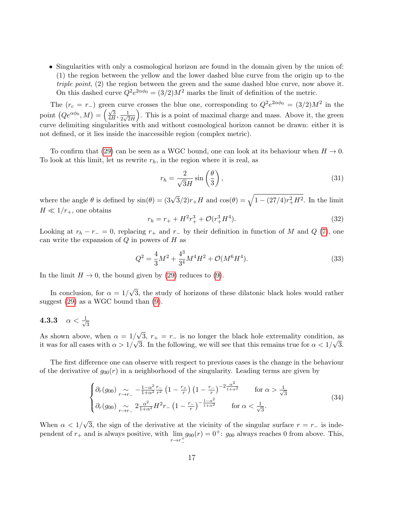• Singularities with only a cosmological horizon are found in the domain given by the union of: (1) the region between the yellow and the lower dashed blue curve from the origin up to the triple point, (2) the region between the green and the same dashed blue curve, now above it. On this dashed curve  $Q^2 e^{2\alpha \phi_0} = (3/2)M^2$  marks the limit of definition of the metric.

The  $(r_c = r_+)$  green curve crosses the blue one, corresponding to  $Q^2 e^{2\alpha \phi_0} = (3/2)M^2$  in the point  $(Qe^{\alpha\phi_0}, M) = \left(\frac{\sqrt{3}}{4H}\right)$  $\frac{\sqrt{3}}{4H},\frac{1}{2\sqrt{2}}$  $\frac{1}{2\sqrt{2}H}$  . This is a point of maximal charge and mass. Above it, the green curve delimiting singularities with and without cosmological horizon cannot be drawn: either it is not defined, or it lies inside the inaccessible region (complex metric).

To confirm that [\(29\)](#page-15-1) can be seen as a WGC bound, one can look at its behaviour when  $H \to 0$ . To look at this limit, let us rewrite  $r_h$ , in the region where it is real, as

$$
r_h = \frac{2}{\sqrt{3}H} \sin\left(\frac{\theta}{3}\right),\tag{31}
$$

where the angle  $\theta$  is defined by  $\sin(\theta) = (3\sqrt{3}/2)r_+H$  and  $\cos(\theta) = \sqrt{1 - (27/4)r_+^2H^2}$ . In the limit  $H \ll 1/r_+$ , one obtains

$$
r_h = r_+ + H^2 r_+^3 + \mathcal{O}(r_+^3 H^4). \tag{32}
$$

Looking at  $r_h - r_0 = 0$ , replacing  $r_+$  and  $r_-$  by their definition in function of M and Q [\(7\)](#page-3-1), one can write the expansion of  $Q$  in powers of  $H$  as

<span id="page-16-1"></span>
$$
Q^2 = \frac{4}{3}M^2 + \frac{4^3}{3^4}M^4H^2 + \mathcal{O}(M^6H^4). \tag{33}
$$

In the limit  $H \to 0$ , the bound given by [\(29\)](#page-15-1) reduces to [\(9\)](#page-5-2).

In conclusion, for  $\alpha = 1/$ √ 3, the study of horizons of these dilatonic black holes would rather suggest  $(29)$  as a WGC bound than  $(9)$ .

#### <span id="page-16-0"></span>4.3.3  $\alpha < \frac{1}{\sqrt{2}}$ 3

As shown above, when  $\alpha = 1/$ √  $\sqrt{3}$ ,  $r_{+} = r_{-}$  is no longer the black hole extremality condition, as it was for all cases with  $\alpha > 1/\sqrt{3}$ . In the following, we will see that this remains true for  $\alpha < 1/\sqrt{3}$ .

The first difference one can observe with respect to previous cases is the change in the behaviour of the derivative of  $g_{00}(r)$  in a neighborhood of the singularity. Leading terms are given by

$$
\begin{cases} \partial_r(g_{00}) \underset{r \to r_-}{\sim} -\frac{1-\alpha^2}{1+\alpha^2} \frac{r_-}{r^2} \left(1 - \frac{r_+}{r}\right) \left(1 - \frac{r_-}{r}\right)^{-2} \frac{\alpha^2}{1+\alpha^2} & \text{for } \alpha > \frac{1}{\sqrt{3}}\\ \partial_r(g_{00}) \underset{r \to r_-}{\sim} 2 \frac{\alpha^2}{1+\alpha^2} H^2 r_- \left(1 - \frac{r_-}{r}\right)^{-\frac{1-\alpha^2}{1+\alpha^2}} & \text{for } \alpha < \frac{1}{\sqrt{3}}. \end{cases} \tag{34}
$$

When  $\alpha < 1/$ √ 3, the sign of the derivative at the vicinity of the singular surface  $r = r_-\,$  is independent of  $r_+$  and is always positive, with  $\lim_{n \to \infty} g_{00}(r) = 0^+$ :  $g_{00}$  always reaches 0 from above. This,  $r \rightarrow r_{-}^{+}$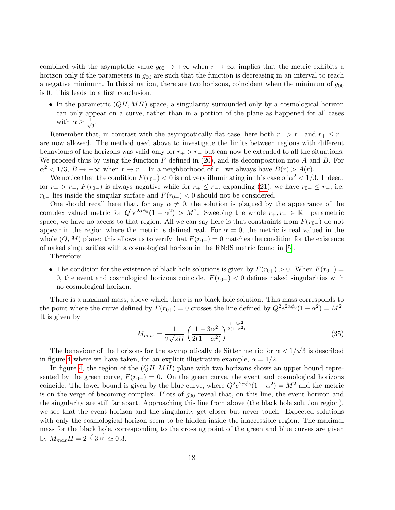combined with the asymptotic value  $g_{00} \to +\infty$  when  $r \to \infty$ , implies that the metric exhibits a horizon only if the parameters in  $g_{00}$  are such that the function is decreasing in an interval to reach a negative minimum. In this situation, there are two horizons, coincident when the minimum of  $g_{00}$ is 0. This leads to a first conclusion:

• In the parametric  $(QH, MH)$  space, a singularity surrounded only by a cosmological horizon can only appear on a curve, rather than in a portion of the plane as happened for all cases with  $\alpha \geq \frac{1}{\sqrt{2}}$  $\frac{1}{3}$ .

Remember that, in contrast with the asymptotically flat case, here both  $r_{+} > r_{-}$  and  $r_{+} \leq r_{-}$ are now allowed. The method used above to investigate the limits between regions with different behaviours of the horizons was valid only for  $r_{+} > r_{-}$  but can now be extended to all the situations. We proceed thus by using the function  $F$  defined in [\(20\)](#page-10-1), and its decomposition into  $A$  and  $B$ . For  $\alpha^2 < 1/3$ ,  $B \to +\infty$  when  $r \to r_-\$ . In a neighborhood of  $r_-\,$  we always have  $B(r) > A(r)$ .

We notice that the condition  $F(r_{0-}) < 0$  is not very illuminating in this case of  $\alpha^2 < 1/3$ . Indeed, for  $r_{+} > r_{-}$ ,  $F(r_{0-})$  is always negative while for  $r_{+} \leq r_{-}$ , expanding [\(21\)](#page-10-2), we have  $r_{0-} \leq r_{-}$ , i.e.  $r_{0-}$  lies inside the singular surface and  $F(r_{0-}) < 0$  should not be considered.

One should recall here that, for any  $\alpha \neq 0$ , the solution is plagued by the appearance of the complex valued metric for  $Q^2 e^{2\alpha \phi_0} (1 - \alpha^2) > M^2$ . Sweeping the whole  $r_+, r_- \in \mathbb{R}^+$  parametric space, we have no access to that region. All we can say here is that constraints from  $F(r_{0-})$  do not appear in the region where the metric is defined real. For  $\alpha = 0$ , the metric is real valued in the whole  $(Q, M)$  plane: this allows us to verify that  $F(r_{0-}) = 0$  matches the condition for the existence of naked singularities with a cosmological horizon in the RNdS metric found in [\[5\]](#page-37-4).

Therefore:

• The condition for the existence of black hole solutions is given by  $F(r_{0+}) > 0$ . When  $F(r_{0+}) =$ 0, the event and cosmological horizons coincide.  $F(r_{0+}) < 0$  defines naked singularities with no cosmological horizon.

There is a maximal mass, above which there is no black hole solution. This mass corresponds to the point where the curve defined by  $F(r_{0+}) = 0$  crosses the line defined by  $Q^2 e^{2\alpha \phi_0} (1 - \alpha^2) = M^2$ . It is given by

$$
M_{max} = \frac{1}{2\sqrt{2}H} \left(\frac{1 - 3\alpha^2}{2(1 - \alpha^2)}\right)^{\frac{1 - 3\alpha^2}{2(1 + \alpha^2)}}
$$
(35)

The behaviour of the horizons for the asymptotically de Sitter metric for  $\alpha < 1/$ 3 is described in figure [4](#page-18-0) where we have taken, for an explicit illustrative example,  $\alpha = 1/2$ .

In figure [4,](#page-18-0) the region of the  $(QH, MH)$  plane with two horizons shows an upper bound represented by the green curve,  $F(r_{0+}) = 0$ . On the green curve, the event and cosmological horizons coincide. The lower bound is given by the blue curve, where  $Q^2 e^{2\alpha \phi_0} (1 - \alpha^2) = M^2$  and the metric is on the verge of becoming complex. Plots of  $g_{00}$  reveal that, on this line, the event horizon and the singularity are still far apart. Approaching this line from above (the black hole solution region), we see that the event horizon and the singularity get closer but never touch. Expected solutions with only the cosmological horizon seem to be hidden inside the inaccessible region. The maximal mass for the black hole, corresponding to the crossing point of the green and blue curves are given by  $M_{max}H = 2^{\frac{-8}{5}}3^{\frac{-1}{10}} \approx 0.3$ .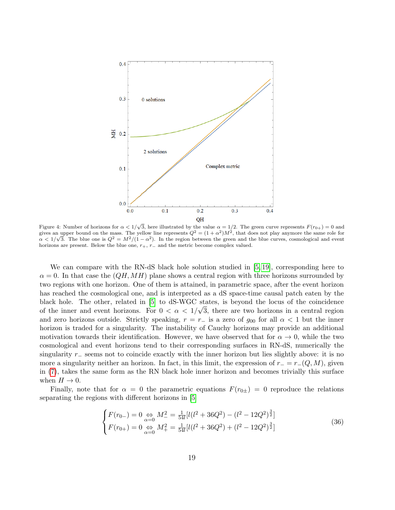<span id="page-18-0"></span>

Figure 4: Number of horizons for  $\alpha < 1/\sqrt{3}$ , here illustrated by the value  $\alpha = 1/2$ . The green curve represents  $F(r_{0+}) = 0$  and gives an upper bound on the mass. The yellow line represents  $Q^2 = (1 + \alpha^2)M^2$ , that does not play anymore the same role for  $\alpha < 1/\sqrt{3}$ . The blue one is  $Q^2 = M^2/(1-\alpha^2)$ . In the region between the green and the blue curves, cosmological and event horizons are present. Below the blue one,  $r_+, r_-$  and the metric become complex valued.

We can compare with the RN-dS black hole solution studied in [\[5,](#page-37-4) [19\]](#page-38-2), corresponding here to  $\alpha = 0$ . In that case the  $(QH, MH)$  plane shows a central region with three horizons surrounded by two regions with one horizon. One of them is attained, in parametric space, after the event horizon has reached the cosmological one, and is interpreted as a dS space-time causal patch eaten by the black hole. The other, related in [\[5\]](#page-37-4) to dS-WGC states, is beyond the locus of the coincidence of the inner and event horizons. For  $0 < \alpha < 1/\sqrt{3}$ , there are two horizons in a central region and zero horizons outside. Strictly speaking,  $r = r_-\,$  is a zero of  $g_{00}$  for all  $\alpha < 1$  but the inner horizon is traded for a singularity. The instability of Cauchy horizons may provide an additional motivation towards their identification. However, we have observed that for  $\alpha \to 0$ , while the two cosmological and event horizons tend to their corresponding surfaces in RN-dS, numerically the singularity r<sub>−</sub> seems not to coincide exactly with the inner horizon but lies slightly above: it is no more a singularity neither an horizon. In fact, in this limit, the expression of  $r = r-(Q, M)$ , given in [\(7\)](#page-3-1), takes the same form as the RN black hole inner horizon and becomes trivially this surface when  $H \to 0$ .

Finally, note that for  $\alpha = 0$  the parametric equations  $F(r_{0\pm}) = 0$  reproduce the relations separating the regions with different horizons in [\[5\]](#page-37-4)

<span id="page-18-1"></span>
$$
\begin{cases}\nF(r_{0-}) = 0 \underset{\alpha=0}{\Leftrightarrow} M_{-}^{2} = \frac{1}{54l} [l(l^{2} + 36Q^{2}) - (l^{2} - 12Q^{2})^{\frac{3}{2}}] \\
F(r_{0+}) = 0 \underset{\alpha=0}{\Leftrightarrow} M_{+}^{2} = \frac{1}{54l} [l(l^{2} + 36Q^{2}) + (l^{2} - 12Q^{2})^{\frac{3}{2}}]\n\end{cases}
$$
\n(36)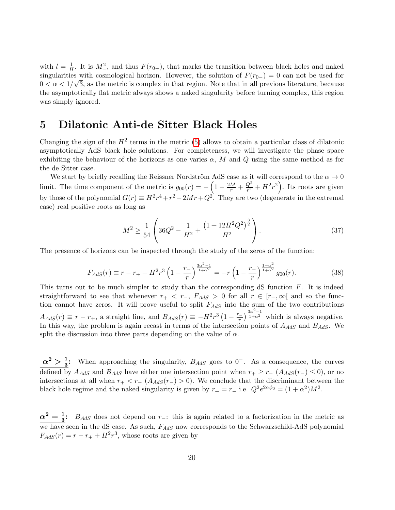with  $l = \frac{1}{H}$  $\frac{1}{H}$ . It is  $M_{-}^2$ , and thus  $F(r_{0-})$ , that marks the transition between black holes and naked singularities with cosmological horizon. However, the solution of  $F(r_{0-}) = 0$  can not be used for  $0 < \alpha < 1/\sqrt{3}$ , as the metric is complex in that region. Note that in all previous literature, because the asymptotically flat metric always shows a naked singularity before turning complex, this region was simply ignored.

### <span id="page-19-0"></span>5 Dilatonic Anti-de Sitter Black Holes

Changing the sign of the  $H^2$  terms in the metric [\(5\)](#page-3-0) allows to obtain a particular class of dilatonic asymptotically AdS black hole solutions. For completeness, we will investigate the phase space exhibiting the behaviour of the horizons as one varies  $\alpha$ , M and Q using the same method as for the de Sitter case.

We start by briefly recalling the Reissner Nordström AdS case as it will correspond to the  $\alpha \to 0$ limit. The time component of the metric is  $g_{00}(r) = -\left(1 - \frac{2M}{r} + \frac{Q^2}{r^2}\right)$  $\frac{Q^2}{r^2} + H^2 r^2$ ). Its roots are given by those of the polynomial  $G(r) \equiv H^2r^4 + r^2 - 2Mr + Q^2$ . They are two (degenerate in the extremal case) real positive roots as long as

<span id="page-19-1"></span>
$$
M^{2} \ge \frac{1}{54} \left( 36Q^{2} - \frac{1}{H^{2}} + \frac{\left( 1 + 12H^{2}Q^{2} \right)^{\frac{3}{2}}}{H^{2}} \right). \tag{37}
$$

The presence of horizons can be inspected through the study of the zeros of the function:

<span id="page-19-2"></span>
$$
F_{AdS}(r) \equiv r - r_+ + H^2 r^3 \left(1 - \frac{r_-}{r}\right)^{\frac{3\alpha^2 - 1}{1 + \alpha^2}} = -r \left(1 - \frac{r_-}{r}\right)^{\frac{1 - \alpha^2}{1 + \alpha^2}} g_{00}(r). \tag{38}
$$

This turns out to be much simpler to study than the corresponding  $dS$  function  $F$ . It is indeed straightforward to see that whenever  $r_{+} < r_{-}$ ,  $F_{AdS} > 0$  for all  $r \in [r_{-}, \infty[$  and so the function cannot have zeros. It will prove useful to split  $F_{AdS}$  into the sum of the two contributions  $A_{AdS}(r) \equiv r - r_+$ , a straight line, and  $B_{AdS}(r) \equiv -H^2r^3\left(1 - \frac{r_-}{r_+}\right)$  $\left(\frac{r}{r}\right)^{\frac{3\alpha^2-1}{1+\alpha^2}}$  $\overline{1+\alpha^2}$  which is always negative. In this way, the problem is again recast in terms of the intersection points of  $A_{AdS}$  and  $B_{AdS}$ . We split the discussion into three parts depending on the value of  $\alpha$ .

 $\alpha^2 > \frac{1}{3}$ : When approaching the singularity,  $B_{AdS}$  goes to 0<sup>-</sup>. As a consequence, the curves defined by  $A_{AdS}$  and  $B_{AdS}$  have either one intersection point when  $r_+ \geq r_-$  ( $A_{AdS}(r_-) \leq 0$ ), or no intersections at all when  $r_{+} < r_{-}$  ( $A_{AdS}(r_{-}) > 0$ ). We conclude that the discriminant between the black hole regime and the naked singularity is given by  $r_{+} = r_{-}$  i.e.  $Q^{2}e^{2\alpha\phi_{0}} = (1 + \alpha^{2})M^{2}$ .

 $\alpha^2 = \frac{1}{3}$ :  $B_{AdS}$  does not depend on r<sub>−</sub>: this is again related to a factorization in the metric as we have seen in the dS case. As such,  $F_{AdS}$  now corresponds to the Schwarzschild-AdS polynomial  $F_{AdS}(r) = r - r_+ + H^2 r^3$ , whose roots are given by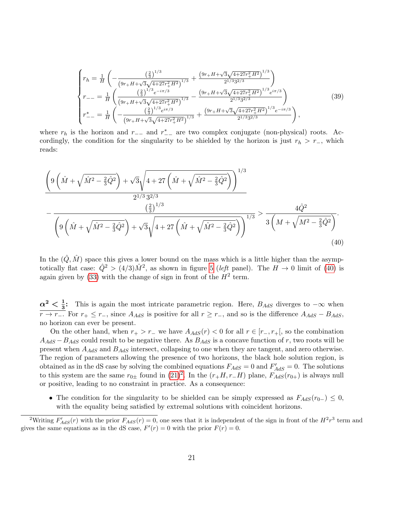$$
\begin{cases}\nr_{h} = \frac{1}{H} \left( -\frac{\left(\frac{2}{3}\right)^{1/3}}{\left(9r_{+}H + \sqrt{3}\sqrt{4+27r_{+}^{2}H^{2}}\right)^{1/3}} + \frac{\left(9r_{+}H + \sqrt{3}\sqrt{4+27r_{+}^{2}H^{2}}\right)^{1/3}}{2^{1/3}3^{2/3}}\right) \\
r_{--} = \frac{1}{H} \left( \frac{\left(\frac{2}{3}\right)^{1/3} e^{-i\pi/3}}{\left(9r_{+}H + \sqrt{3}\sqrt{4+27r_{+}^{2}H^{2}}\right)^{1/3}} - \frac{\left(9r_{+}H + \sqrt{3}\sqrt{4+27r_{+}^{2}H^{2}}\right)^{1/3} e^{i\pi/3}}{2^{1/3}3^{2/3}}\right) \\
r_{--}^{*} = \frac{1}{H} \left( -\frac{\left(\frac{2}{3}\right)^{1/3} e^{i\pi/3}}{\left(9r_{+}H + \sqrt{3}\sqrt{4+27r_{+}^{2}H^{2}}\right)^{1/3}} + \frac{\left(9r_{+}H + \sqrt{3}\sqrt{4+27r_{+}^{2}H^{2}}\right)^{1/3} e^{-i\pi/3}}{2^{1/3}3^{2/3}}\right),\n\end{cases}\n\tag{39}
$$

where  $r_h$  is the horizon and  $r_{--}$  and  $r_{--}^*$  are two complex conjugate (non-physical) roots. Accordingly, the condition for the singularity to be shielded by the horizon is just  $r_h > r_-,$  which reads:

$$
\frac{\left(9\left(\hat{M} + \sqrt{\hat{M}^2 - \frac{2}{3}\hat{Q}^2}\right) + \sqrt{3}\sqrt{4 + 27\left(\hat{M} + \sqrt{\hat{M}^2 - \frac{2}{3}\hat{Q}^2}\right)}\right)^{1/3}}{2^{1/3}3^{2/3}}
$$
\n
$$
-\frac{\left(\frac{2}{3}\right)^{1/3}}{\left(9\left(\hat{M} + \sqrt{\hat{M}^2 - \frac{2}{3}\hat{Q}^2}\right) + \sqrt{3}\sqrt{4 + 27\left(\hat{M} + \sqrt{\hat{M}^2 - \frac{2}{3}\hat{Q}^2}\right)}\right)^{1/3}} > \frac{4\hat{Q}^2}{3\left(M + \sqrt{M^2 - \frac{2}{3}\hat{Q}^2}\right)}.
$$
\n(40)

<span id="page-20-0"></span>In the  $(\hat{Q}, \hat{M})$  space this gives a lower bound on the mass which is a little higher than the asymptotically flat case:  $\hat{Q}^2 > (4/3)\hat{M}^2$ , as shown in figure [5](#page-21-0) (left panel). The  $H \to 0$  limit of [\(40\)](#page-20-0) is again given by [\(33\)](#page-16-1) with the change of sign in front of the  $H^2$  term.

 $\alpha^2 < \frac{1}{3}$ : This is again the most intricate parametric region. Here,  $B_{AdS}$  diverges to  $-\infty$  when  $\frac{v}{r}$  +  $r_+$   $\leq$   $r_-$ , since  $A_{AdS}$  is positive for all  $r \geq r_-$ , and so is the difference  $A_{AdS} - B_{AdS}$ , no horizon can ever be present.

On the other hand, when  $r_{+} > r_{-}$  we have  $A_{AdS}(r) < 0$  for all  $r \in [r_{-}, r_{+}]$ , so the combination  $A_{AdS} - B_{AdS}$  could result to be negative there. As  $B_{AdS}$  is a concave function of r, two roots will be present when  $A_{AdS}$  and  $B_{AdS}$  intersect, collapsing to one when they are tangent, and zero otherwise. The region of parameters allowing the presence of two horizons, the black hole solution region, is obtained as in the dS case by solving the combined equations  $F_{AdS} = 0$  and  $F'_{AdS} = 0$ . The solutions to this system are the same  $r_{0\pm}$  found in  $(21)^2$  $(21)^2$  $(21)^2$ . In the  $(r_+H, r_-H)$  plane,  $F_{AdS}(r_{0+})$  is always null or positive, leading to no constraint in practice. As a consequence:

• The condition for the singularity to be shielded can be simply expressed as  $F_{AdS}(r_{0-}) \leq 0$ , with the equality being satisfied by extremal solutions with coincident horizons.

<span id="page-20-1"></span><sup>&</sup>lt;sup>2</sup>Writing  $F'_{AdS}(r)$  with the prior  $F_{AdS}(r) = 0$ , one sees that it is independent of the sign in front of the  $H^2r^3$  term and gives the same equations as in the dS case,  $F'(r) = 0$  with the prior  $F(r) = 0$ .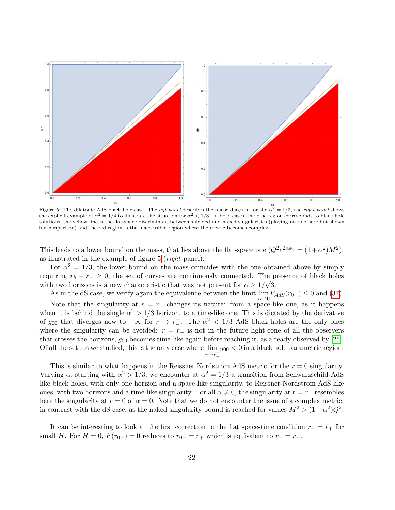<span id="page-21-0"></span>

Figure 5: The dilatonic AdS black hole case. The *left panel* describes the phase diagram for the  $\alpha^2 = 1/3$ , the *right panel* shows the explicit example of  $\alpha^2 = 1/4$  to illustrate the situation for  $\alpha^2 < 1/3$ . In both cases, the blue region corresponds to black hole solutions, the yellow line is the flat-space discriminant between shielded and naked singularities (playing no role here but shown for comparison) and the red region is the inaccessible region where the metric becomes complex.

This leads to a lower bound on the mass, that lies above the flat-space one  $(Q^2 e^{2\alpha \phi_0} = (1 + \alpha^2)M^2)$ , as illustrated in the example of figure [5](#page-21-0) (right panel).

For  $\alpha^2 = 1/3$ , the lower bound on the mass coincides with the one obtained above by simply requiring  $r_h - r_-\geq 0$ , the set of curves are continuously connected. The presence of black holes with two horizons is a new characteristic that was not present for  $\alpha \geq 1/\sqrt{3}$ .

As in the dS case, we verify again the equivalence between the limit  $\lim_{\alpha \to 0} F_{AdS}(r_{0-}) \leq 0$  and [\(37\)](#page-19-1).

Note that the singularity at  $r = r_-\$  changes its nature: from a space-like one, as it happens when it is behind the single  $\alpha^2 > 1/3$  horizon, to a time-like one. This is dictated by the derivative of  $g_{00}$  that diverges now to  $-\infty$  for  $r \to r^{\pm}$ . The  $\alpha^2 < 1/3$  AdS black holes are the only ones where the singularity can be avoided:  $r = r_-\;$  is not in the future light-cone of all the observers that crosses the horizons,  $g_{00}$  becomes time-like again before reaching it, as already observed by [\[25\]](#page-38-8). Of all the setups we studied, this is the only case where lim  $r \rightarrow r^+_$  $g_{00}$  < 0 in a black hole parametric region.

This is similar to what happens in the Reissner Nordstrom AdS metric for the  $r = 0$  singularity. Varying  $\alpha$ , starting with  $\alpha^2 > 1/3$ , we encounter at  $\alpha^2 = 1/3$  a transition from Schwarzschild-AdS like black holes, with only one horizon and a space-like singularity, to Reissner-Nordstrom AdS like ones, with two horizons and a time-like singularity. For all  $\alpha \neq 0$ , the singularity at  $r = r_-\$  resembles here the singularity at  $r = 0$  of  $\alpha = 0$ . Note that we do not encounter the issue of a complex metric, in contrast with the dS case, as the naked singularity bound is reached for values  $M^2 > (1 - \alpha^2)Q^2$ .

It can be interesting to look at the first correction to the flat space-time condition  $r_ - = r_ +$  for small H. For  $H = 0$ ,  $F(r_{0-}) = 0$  reduces to  $r_{0-} = r_+$  which is equivalent to  $r_+ = r_+$ .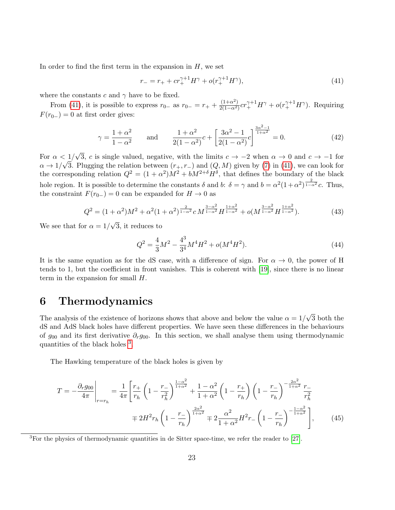In order to find the first term in the expansion in  $H$ , we set

<span id="page-22-1"></span>
$$
r_{-} = r_{+} + cr_{+}^{\gamma+1}H^{\gamma} + o(r_{+}^{\gamma+1}H^{\gamma}), \tag{41}
$$

where the constants c and  $\gamma$  have to be fixed.

From [\(41\)](#page-22-1), it is possible to express  $r_{0-}$  as  $r_{0-} = r_+ + \frac{(1+\alpha^2)}{2(1-\alpha^2)}$  $\frac{(1+\alpha^2)}{2(1-\alpha^2)}cr_+^{\gamma+1}H^{\gamma}+o(r_+^{\gamma+1}H^{\gamma}).$  Requiring  $F(r_{0-})=0$  at first order gives:

<span id="page-22-4"></span>
$$
\gamma = \frac{1+\alpha^2}{1-\alpha^2} \quad \text{and} \quad \frac{1+\alpha^2}{2(1-\alpha^2)}c + \left[\frac{3\alpha^2 - 1}{2(1-\alpha^2)}c\right]^{\frac{3\alpha^2 - 1}{1+\alpha^2}} = 0. \tag{42}
$$

For  $\alpha < 1/$ √  $\langle 1/\sqrt{3}, c \text{ is single valued, negative, with the limits } c \to -2 \text{ when } \alpha \to 0 \text{ and } c \to -1 \text{ for } c \in \mathbb{R}$  $\alpha \to 1/\sqrt{3}$ . Plugging the relation between  $(r_+, r_-)$  and  $(Q, M)$  given by [\(7\)](#page-3-1) in [\(41\)](#page-22-1), we can look for the corresponding relation  $Q^2 = (1 + \alpha^2)M^2 + bM^{2+\delta}H^{\delta}$ , that defines the boundary of the black hole region. It is possible to determine the constants  $\delta$  and  $b: \delta = \gamma$  and  $b = \alpha^2(1+\alpha^2)^{\frac{2}{1-\alpha^2}}c$ . Thus, the constraint  $F(r_{0-})=0$  can be expanded for  $H\to 0$  as

$$
Q^{2} = (1 + \alpha^{2})M^{2} + \alpha^{2}(1 + \alpha^{2})^{\frac{2}{1 - \alpha^{2}}}c M^{\frac{3 - \alpha^{2}}{1 - \alpha^{2}}} H^{\frac{1 + \alpha^{2}}{1 - \alpha^{2}}} + o(M^{\frac{3 - \alpha^{2}}{1 - \alpha^{2}}} H^{\frac{1 + \alpha^{2}}{1 - \alpha^{2}}}).
$$
\n(43)

We see that for  $\alpha = 1/$ 3, it reduces to

<span id="page-22-3"></span>
$$
Q^2 = \frac{4}{3}M^2 - \frac{4^3}{3^4}M^4H^2 + o(M^4H^2). \tag{44}
$$

It is the same equation as for the dS case, with a difference of sign. For  $\alpha \to 0$ , the power of H tends to 1, but the coefficient in front vanishes. This is coherent with [\[19\]](#page-38-2), since there is no linear term in the expansion for small  $H$ .

### <span id="page-22-0"></span>6 Thermodynamics

The analysis of the existence of horizons shows that above and below the value  $\alpha = 1/2$ √ 3 both the dS and AdS black holes have different properties. We have seen these differences in the behaviours of  $g_{00}$  and its first derivative  $\partial_{r}g_{00}$ . In this section, we shall analyse them using thermodynamic quantities of the black holes <sup>[3](#page-22-2)</sup>.

The Hawking temperature of the black holes is given by

$$
T = -\frac{\partial_r g_{00}}{4\pi} \Big|_{r=r_h} = \frac{1}{4\pi} \left[ \frac{r_+}{r_h} \left( 1 - \frac{r_-}{r_h^2} \right)^{\frac{1-\alpha^2}{1+\alpha^2}} + \frac{1-\alpha^2}{1+\alpha^2} \left( 1 - \frac{r_+}{r_h} \right) \left( 1 - \frac{r_-}{r_h} \right)^{-\frac{2\alpha^2}{1+\alpha^2}} \frac{r_-}{r_h^2} \right]
$$
  

$$
= 2H^2 r_h \left( 1 - \frac{r_-}{r_h} \right)^{\frac{2\alpha^2}{1+\alpha^2}} \mp 2 \frac{\alpha^2}{1+\alpha^2} H^2 r_- \left( 1 - \frac{r_-}{r_h} \right)^{-\frac{1-\alpha^2}{1+\alpha^2}} \Big], \tag{45}
$$

<span id="page-22-2"></span><sup>3</sup>For the physics of thermodynamic quantities in de Sitter space-time, we refer the reader to [\[27\]](#page-38-10).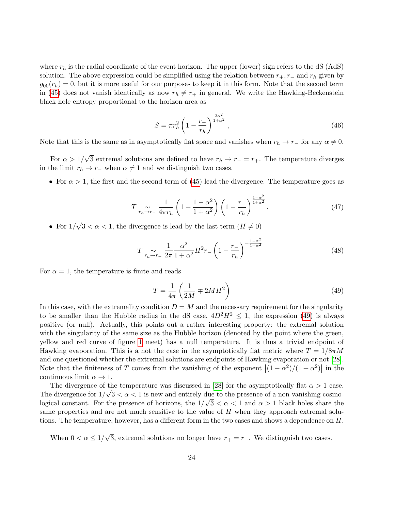where  $r_h$  is the radial coordinate of the event horizon. The upper (lower) sign refers to the dS (AdS) solution. The above expression could be simplified using the relation between  $r_+, r_-$  and  $r_h$  given by  $g_{00}(r_h) = 0$ , but it is more useful for our purposes to keep it in this form. Note that the second term in [\(45\)](#page-22-3) does not vanish identically as now  $r_h \neq r_+$  in general. We write the Hawking-Beckenstein black hole entropy proportional to the horizon area as

$$
S = \pi r_h^2 \left( 1 - \frac{r_-}{r_h} \right)^{\frac{2\alpha^2}{1+\alpha^2}},\tag{46}
$$

Note that this is the same as in asymptotically flat space and vanishes when  $r_h \to r_+$  for any  $\alpha \neq 0$ .

For  $\alpha > 1/$ √ 3 extremal solutions are defined to have  $r_h \to r_- = r_+$ . The temperature diverges in the limit  $r_h \to r_-$  when  $\alpha \neq 1$  and we distinguish two cases.

• For  $\alpha > 1$ , the first and the second term of [\(45\)](#page-22-3) lead the divergence. The temperature goes as

$$
T\underset{r_h\to r_-}{\sim}\frac{1}{4\pi r_h}\left(1+\frac{1-\alpha^2}{1+\alpha^2}\right)\left(1-\frac{r_-}{r_h}\right)^{\frac{1-\alpha^2}{1+\alpha^2}}.\tag{47}
$$

• For  $1/$ √  $3 < \alpha < 1$ , the divergence is lead by the last term  $(H \neq 0)$ 

<span id="page-23-1"></span>
$$
T \underset{r_h \to r_-}{\sim} \frac{1}{2\pi} \frac{\alpha^2}{1 + \alpha^2} H^2 r_- \left( 1 - \frac{r_-}{r_h} \right)^{-\frac{1 - \alpha^2}{1 + \alpha^2}} \tag{48}
$$

For  $\alpha = 1$ , the temperature is finite and reads

<span id="page-23-0"></span>
$$
T = \frac{1}{4\pi} \left( \frac{1}{2M} \mp 2MH^2 \right) \tag{49}
$$

In this case, with the extremality condition  $D = M$  and the necessary requirement for the singularity to be smaller than the Hubble radius in the dS case,  $4D^2H^2 \le 1$ , the expression [\(49\)](#page-23-0) is always positive (or null). Actually, this points out a rather interesting property: the extremal solution with the singularity of the same size as the Hubble horizon (denoted by the point where the green, yellow and red curve of figure [1](#page-8-0) meet) has a null temperature. It is thus a trivial endpoint of Hawking evaporation. This is a not the case in the asymptotically flat metric where  $T = 1/8\pi M$ and one questioned whether the extremal solutions are endpoints of Hawking evaporation or not [\[28\]](#page-38-11). Note that the finiteness of T comes from the vanishing of the exponent  $|(1 - \alpha^2)/(1 + \alpha^2)|$  in the continuous limit  $\alpha \to 1$ .

The divergence of the temperature was discussed in [\[28\]](#page-38-11) for the asymptotically flat  $\alpha > 1$  case. The divergence for  $1/\sqrt{3} < \alpha < 1$  is new and entirely due to the presence of a non-vanishing cosmological constant. For the presence of horizons, the  $1/\sqrt{3} < \alpha < 1$  and  $\alpha > 1$  black holes share the same properties and are not much sensitive to the value of  $H$  when they approach extremal solutions. The temperature, however, has a different form in the two cases and shows a dependence on H.

When  $0 < \alpha \leq 1/$ √ 3, extremal solutions no longer have  $r_{+} = r_{-}$ . We distinguish two cases.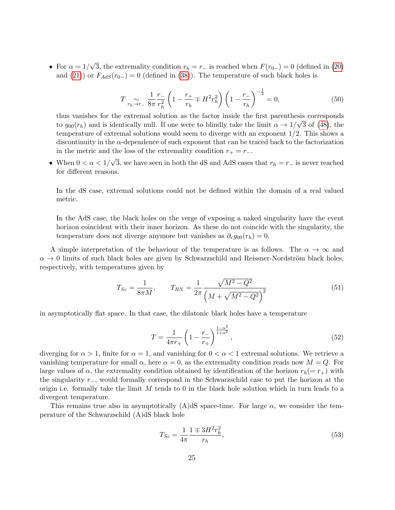• For  $\alpha = 1/$ √ 3, the extremality condition  $r_h = r_-\,$  is reached when  $F(r_{0-}) = 0$  (defined in [\(20\)](#page-10-1) and [\(21\)](#page-10-2)) or  $F_{AdS}(r_{0-}) = 0$  (defined in [\(38\)](#page-19-2)). The temperature of such black holes is

$$
T\underset{r_h \to r_-}{\sim} \frac{1}{8\pi} \frac{r_-}{r_h^2} \left(1 - \frac{r_+}{r_h} \mp H^2 r_h^2\right) \left(1 - \frac{r_-}{r_h}\right)^{-\frac{1}{2}} = 0,\tag{50}
$$

thus vanishes for the extremal solution as the factor inside the first parenthesis corresponds to  $g_{00}(r_h)$  and is identically null. If one were to blindly take the limit  $\alpha \to 1/\sqrt{3}$  of [\(48\)](#page-23-1), the temperature of extremal solutions would seem to diverge with an exponent 1/2. This shows a discontinuity in the  $\alpha$ -dependence of such exponent that can be traced back to the factorization in the metric and the loss of the extremality condition  $r_{+} = r_{-}$ .

• When  $0 < \alpha < 1/$ √ 3, we have seen in both the dS and AdS cases that  $r_h = r_-\text{ is never reached}$ for different reasons.

In the dS case, extremal solutions could not be defined within the domain of a real valued metric.

In the AdS case, the black holes on the verge of exposing a naked singularity have the event horizon coincident with their inner horizon. As these do not coincide with the singularity, the temperature does not diverge anymore but vanishes as  $\partial_{r}g_{00}(r_{h})=0$ .

A simple interpretation of the behaviour of the temperature is as follows. The  $\alpha \to \infty$  and  $\alpha \rightarrow 0$  limits of such black holes are given by Schwarzschild and Reissner-Nordström black holes, respectively, with temperatures given by

$$
T_{Sc} = \frac{1}{8\pi M}, \qquad T_{RN} = \frac{1}{2\pi} \frac{\sqrt{M^2 - Q^2}}{\left(M + \sqrt{M^2 - Q^2}\right)^2}
$$
(51)

in asymptotically flat space. In that case, the dilatonic black holes have a temperature

$$
T = \frac{1}{4\pi r_{+}} \left( 1 - \frac{r_{-}}{r_{+}} \right)^{\frac{1 - \alpha^{2}}{1 + \alpha^{2}}},\tag{52}
$$

diverging for  $\alpha > 1$ , finite for  $\alpha = 1$ , and vanishing for  $0 < \alpha < 1$  extremal solutions. We retrieve a vanishing temperature for small  $\alpha$ , here  $\alpha = 0$ , as the extremality condition reads now  $M = Q$ . For large values of  $\alpha$ , the extremality condition obtained by identification of the horizon  $r_h(= r_+)$  with the singularity r−, would formally correspond in the Schwarzschild case to put the horizon at the origin i.e. formally take the limit  $M$  tends to 0 in the black hole solution which in turn leads to a divergent temperature.

This remains true also in asymptotically (A)dS space-time. For large  $\alpha$ , we consider the temperature of the Schwarzschild (A)dS black hole

<span id="page-24-0"></span>
$$
T_{Sc} = \frac{1}{4\pi} \frac{1 \mp 3H^2 r_h^2}{r_h},\tag{53}
$$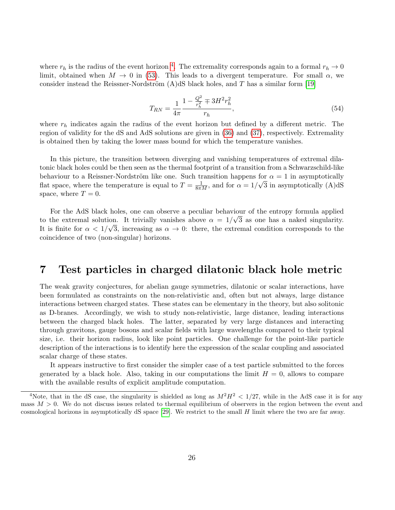where  $r_h$  is the radius of the event horizon <sup>[4](#page-25-1)</sup>. The extremality corresponds again to a formal  $r_h \to 0$ limit, obtained when  $M \to 0$  in [\(53\)](#page-24-0). This leads to a divergent temperature. For small  $\alpha$ , we consider instead the Reissner-Nordström  $(A)dS$  black holes, and T has a similar form [\[19\]](#page-38-2)

$$
T_{RN} = \frac{1}{4\pi} \frac{1 - \frac{Q^2}{r_h^2} \mp 3H^2 r_h^2}{r_h},\tag{54}
$$

where  $r_h$  indicates again the radius of the event horizon but defined by a different metric. The region of validity for the dS and AdS solutions are given in [\(36\)](#page-18-1) and [\(37\)](#page-19-1), respectively. Extremality is obtained then by taking the lower mass bound for which the temperature vanishes.

In this picture, the transition between diverging and vanishing temperatures of extremal dilatonic black holes could be then seen as the thermal footprint of a transition from a Schwarzschild-like behaviour to a Reissner-Nordström like one. Such transition happens for  $\alpha = 1$  in asymptotically flat space, where the temperature is equal to  $T = \frac{1}{8\pi M}$ , and for  $\alpha = 1/\sqrt{3}$  in asymptotically (A)dS space, where  $T = 0$ .

For the AdS black holes, one can observe a peculiar behaviour of the entropy formula applied to the extremal solution. It trivially vanishes above  $\alpha = 1/\sqrt{3}$  as one has a naked singularity. It is finite for  $\alpha < 1/\sqrt{3}$ , increasing as  $\alpha \to 0$ : there, the extremal condition corresponds to the coincidence of two (non-singular) horizons.

### <span id="page-25-0"></span>7 Test particles in charged dilatonic black hole metric

The weak gravity conjectures, for abelian gauge symmetries, dilatonic or scalar interactions, have been formulated as constraints on the non-relativistic and, often but not always, large distance interactions between charged states. These states can be elementary in the theory, but also solitonic as D-branes. Accordingly, we wish to study non-relativistic, large distance, leading interactions between the charged black holes. The latter, separated by very large distances and interacting through gravitons, gauge bosons and scalar fields with large wavelengths compared to their typical size, i.e. their horizon radius, look like point particles. One challenge for the point-like particle description of the interactions is to identify here the expression of the scalar coupling and associated scalar charge of these states.

It appears instructive to first consider the simpler case of a test particle submitted to the forces generated by a black hole. Also, taking in our computations the limit  $H = 0$ , allows to compare with the available results of explicit amplitude computation.

<span id="page-25-1"></span><sup>&</sup>lt;sup>4</sup>Note, that in the dS case, the singularity is shielded as long as  $M^2H^2 < 1/27$ , while in the AdS case it is for any mass  $M > 0$ . We do not discuss issues related to thermal equilibrium of observers in the region between the event and cosmological horizons in asymptotically dS space  $[29]$ . We restrict to the small H limit where the two are far away.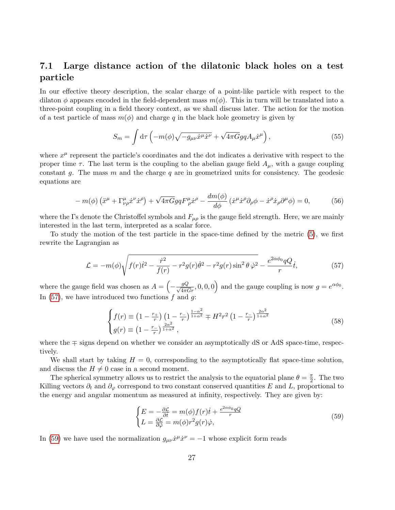#### <span id="page-26-0"></span>7.1 Large distance action of the dilatonic black holes on a test particle

In our effective theory description, the scalar charge of a point-like particle with respect to the dilaton  $\phi$  appears encoded in the field-dependent mass  $m(\phi)$ . This in turn will be translated into a three-point coupling in a field theory context, as we shall discuss later. The action for the motion of a test particle of mass  $m(\phi)$  and charge q in the black hole geometry is given by

$$
S_m = \int d\tau \left( -m(\phi) \sqrt{-g_{\mu\nu} \dot{x}^{\mu} \dot{x}^{\nu}} + \sqrt{4\pi G} g q A_{\mu} \dot{x}^{\mu} \right), \qquad (55)
$$

where  $x^{\mu}$  represent the particle's coordinates and the dot indicates a derivative with respect to the proper time  $\tau$ . The last term is the coupling to the abelian gauge field  $A_{\mu}$ , with a gauge coupling constant q. The mass  $m$  and the charge  $q$  are in geometrized units for consistency. The geodesic equations are

$$
-m(\phi)\left(\ddot{x}^{\mu}+\Gamma_{\nu\rho}^{\mu}\dot{x}^{\nu}\dot{x}^{\rho}\right)+\sqrt{4\pi G}g q F^{\mu}_{\rho}\dot{x}^{\rho}-\frac{dm(\phi)}{d\phi}\left(\dot{x}^{\mu}\dot{x}^{\rho}\partial_{\rho}\phi-\dot{x}^{\rho}\dot{x}_{\rho}\partial^{\mu}\phi\right)=0,
$$
\n(56)

where the Γs denote the Christoffel symbols and  $F_{\mu\rho}$  is the gauge field strength. Here, we are mainly interested in the last term, interpreted as a scalar force.

To study the motion of the test particle in the space-time defined by the metric [\(5\)](#page-3-0), we first rewrite the Lagrangian as

<span id="page-26-1"></span>
$$
\mathcal{L} = -m(\phi)\sqrt{f(r)\dot{t}^2 - \frac{\dot{r}^2}{f(r)} - r^2g(r)\dot{\theta}^2 - r^2g(r)\sin^2\theta\,\dot{\varphi}^2} - \frac{e^{2\alpha\phi_0}qQ}{r}\dot{t},\tag{57}
$$

where the gauge field was chosen as  $A = \left(-\frac{gQ}{\sqrt{4\pi G r}}, 0, 0, 0\right)$  and the gauge coupling is now  $g = e^{\alpha\phi_0}$ . In  $(57)$ , we have introduced two functions f and g:

$$
\begin{cases}\nf(r) \equiv \left(1 - \frac{r_+}{r}\right) \left(1 - \frac{r_-}{r}\right)^{\frac{1-\alpha^2}{1+\alpha^2}} \mp H^2 r^2 \left(1 - \frac{r_-}{r}\right)^{\frac{2\alpha^2}{1+\alpha^2}} \\
g(r) \equiv \left(1 - \frac{r_-}{r}\right)^{\frac{2\alpha^2}{1+\alpha^2}},\n\end{cases} \tag{58}
$$

where the ∓ signs depend on whether we consider an asymptotically dS or AdS space-time, respectively.

We shall start by taking  $H = 0$ , corresponding to the asymptotically flat space-time solution, and discuss the  $H \neq 0$  case in a second moment.

The spherical symmetry allows us to restrict the analysis to the equatorial plane  $\theta = \frac{\pi}{2}$  $\frac{\pi}{2}$ . The two Killing vectors  $\partial_t$  and  $\partial_\varphi$  correspond to two constant conserved quantities E and L, proportional to the energy and angular momentum as measured at infinity, respectively. They are given by:

<span id="page-26-2"></span>
$$
\begin{cases}\nE = -\frac{\partial \mathcal{L}}{\partial \dot{t}} = m(\phi) f(r) \dot{t} + \frac{e^{2\alpha \phi_0} qQ}{r} \\
L = \frac{\partial \mathcal{L}}{\partial \dot{\phi}} = m(\phi) r^2 g(r) \dot{\varphi},\n\end{cases} \tag{59}
$$

In [\(59\)](#page-26-2) we have used the normalization  $g_{\mu\nu}\dot{x}^{\mu}\dot{x}^{\nu} = -1$  whose explicit form reads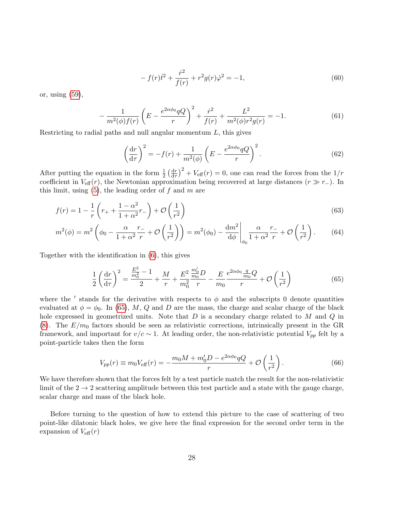<span id="page-27-1"></span>
$$
-f(r)\dot{t}^2 + \frac{\dot{r}^2}{f(r)} + r^2 g(r)\dot{\varphi}^2 = -1,\tag{60}
$$

or, using [\(59\)](#page-26-2),

<span id="page-27-2"></span>
$$
-\frac{1}{m^2(\phi)f(r)}\left(E - \frac{e^{2\alpha\phi_0}qQ}{r}\right)^2 + \frac{\dot{r}^2}{f(r)} + \frac{L^2}{m^2(\phi)r^2g(r)} = -1.
$$
(61)

Restricting to radial paths and null angular momentum  $L$ , this gives

$$
\left(\frac{\mathrm{d}r}{\mathrm{d}\tau}\right)^2 = -f(r) + \frac{1}{m^2(\phi)} \left(E - \frac{e^{2\alpha\phi_0}qQ}{r}\right)^2.
$$
\n(62)

After putting the equation in the form  $\frac{1}{2} \left( \frac{dr}{d\tau} \right)$  $\frac{dr}{dr}$ )<sup>2</sup> +  $V_{\text{eff}}(r) = 0$ , one can read the forces from the  $1/r$ coefficient in  $V_{\text{eff}}(r)$ , the Newtonian approximation being recovered at large distances  $(r \gg r_{-})$ . In this limit, using  $(5)$ , the leading order of f and m are

$$
f(r) = 1 - \frac{1}{r} \left( r_+ + \frac{1 - \alpha^2}{1 + \alpha^2} r_- \right) + \mathcal{O}\left(\frac{1}{r^2}\right)
$$
\n
$$
\tag{63}
$$

$$
m^{2}(\phi) = m^{2} \left( \phi_{0} - \frac{\alpha}{1 + \alpha^{2}} \frac{r_{-}}{r} + \mathcal{O}\left(\frac{1}{r^{2}}\right) \right) = m^{2}(\phi_{0}) - \frac{\mathrm{d}m^{2}}{\mathrm{d}\phi} \Big|_{\phi_{0}} \frac{\alpha}{1 + \alpha^{2}} \frac{r_{-}}{r} + \mathcal{O}\left(\frac{1}{r^{2}}\right). \tag{64}
$$

Together with the identification in [\(6\)](#page-3-3), this gives

<span id="page-27-0"></span>
$$
\frac{1}{2}\left(\frac{\mathrm{d}r}{\mathrm{d}\tau}\right)^2 = \frac{\frac{E^2}{m_0^2} - 1}{2} + \frac{M}{r} + \frac{E^2}{m_0^2}\frac{\frac{m_0'}{m_0}D}{r} - \frac{E}{m_0}\frac{e^{2\alpha\phi_0}\frac{q}{m_0}Q}{r} + \mathcal{O}\left(\frac{1}{r^2}\right)
$$
(65)

where the ' stands for the derivative with respects to  $\phi$  and the subscripts 0 denote quantities evaluated at  $\phi = \phi_0$ . In [\(65\)](#page-27-0), M, Q and D are the mass, the charge and scalar charge of the black hole expressed in geometrized units. Note that  $D$  is a secondary charge related to  $M$  and  $Q$  in [\(8\)](#page-3-2). The  $E/m_0$  factors should be seen as relativistic corrections, intrinsically present in the GR framework, and important for  $v/c \sim 1$ . At leading order, the non-relativistic potential  $V_{pp}$  felt by a point-particle takes then the form

<span id="page-27-3"></span>
$$
V_{pp}(r) \equiv m_0 V_{\text{eff}}(r) = -\frac{m_0 M + m'_0 D - e^{2\alpha \phi_0} q Q}{r} + \mathcal{O}\left(\frac{1}{r^2}\right). \tag{66}
$$

We have therefore shown that the forces felt by a test particle match the result for the non-relativistic limit of the  $2 \rightarrow 2$  scattering amplitude between this test particle and a state with the gauge charge, scalar charge and mass of the black hole.

Before turning to the question of how to extend this picture to the case of scattering of two point-like dilatonic black holes, we give here the final expression for the second order term in the expansion of  $V_{\text{eff}}(r)$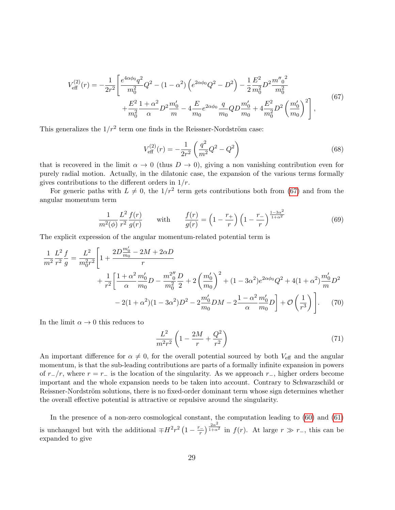<span id="page-28-0"></span>
$$
V_{\text{eff}}^{(2)}(r) = -\frac{1}{2r^2} \left[ \frac{e^{4\alpha\phi_0} q^2}{m_0^2} Q^2 - (1 - \alpha^2) \left( e^{2\alpha\phi_0} Q^2 - D^2 \right) - \frac{1}{2} \frac{E^2}{m_0^2} D^2 \frac{m''_0^2}{m_0^2} + \frac{E^2}{m_0^2} \frac{1 + \alpha^2}{\alpha} D^2 \frac{m'_0}{m} - 4 \frac{E}{m_0} e^{2\alpha\phi_0} \frac{q}{m_0} Q D \frac{m'_0}{m_0} + 4 \frac{E^2}{m_0^2} D^2 \left( \frac{m'_0}{m_0} \right)^2 \right],
$$
\n
$$
(67)
$$

This generalizes the  $1/r^2$  term one finds in the Reissner-Nordström case:

$$
V_{\text{eff}}^{(2)}(r) = -\frac{1}{2r^2} \left( \frac{q^2}{m^2} Q^2 - Q^2 \right)
$$
 (68)

that is recovered in the limit  $\alpha \to 0$  (thus  $D \to 0$ ), giving a non vanishing contribution even for purely radial motion. Actually, in the dilatonic case, the expansion of the various terms formally gives contributions to the different orders in  $1/r$ .

For generic paths with  $L \neq 0$ , the  $1/r^2$  term gets contributions both from [\(67\)](#page-28-0) and from the angular momentum term

$$
\frac{1}{m^2(\phi)} \frac{L^2}{r^2} \frac{f(r)}{g(r)} \qquad \text{with} \qquad \frac{f(r)}{g(r)} = \left(1 - \frac{r_+}{r}\right) \left(1 - \frac{r_-}{r}\right)^{\frac{1 - 3\alpha^2}{1 + \alpha^2}} \tag{69}
$$

The explicit expression of the angular momentum-related potential term is

$$
\frac{1}{m^2} \frac{L^2}{r^2} \frac{f}{g} = \frac{L^2}{m_0^2 r^2} \left[ 1 + \frac{2D \frac{m_0'}{m_0} - 2M + 2\alpha D}{r} + \frac{1}{r^2} \left[ \frac{1 + \alpha^2}{\alpha} \frac{m_0'}{m_0} D - \frac{m_0^2''}{m_0^2} \frac{D}{2} + 2 \left( \frac{m_0'}{m_0} \right)^2 + (1 - 3\alpha^2) e^{2\alpha \phi_0} Q^2 + 4(1 + \alpha^2) \frac{m_0'}{m} D^2 - 2(1 + \alpha^2)(1 - 3\alpha^2) D^2 - 2 \frac{m_0'}{m_0} DM - 2 \frac{1 - \alpha^2}{\alpha} \frac{m_0'}{m_0} D \right] + \mathcal{O}\left(\frac{1}{r^3}\right) \right].
$$
 (70)

In the limit  $\alpha \to 0$  this reduces to

$$
\frac{L^2}{m^2 r^2} \left( 1 - \frac{2M}{r} + \frac{Q^2}{r^2} \right) \tag{71}
$$

An important difference for  $\alpha \neq 0$ , for the overall potential sourced by both  $V_{\text{eff}}$  and the angular momentum, is that the sub-leading contributions are parts of a formally infinite expansion in powers of  $r_{-}/r$ , where  $r = r_{-}$  is the location of the singularity. As we approach  $r_{-}$ , higher orders become important and the whole expansion needs to be taken into account. Contrary to Schwarzschild or Reissner-Nordström solutions, there is no fixed-order dominant term whose sign determines whether the overall effective potential is attractive or repulsive around the singularity.

In the presence of a non-zero cosmological constant, the computation leading to [\(60\)](#page-27-1) and [\(61\)](#page-27-2) is unchanged but with the additional  $\mp H^2 r^2 \left(1 - \frac{r_-}{r_+}\right)$  $\left(\frac{1}{r}\right)^{\frac{2\alpha^2}{1+\alpha}}$  $\frac{1}{1+\alpha^2}$  in  $f(r)$ . At large  $r \gg r_-,$  this can be expanded to give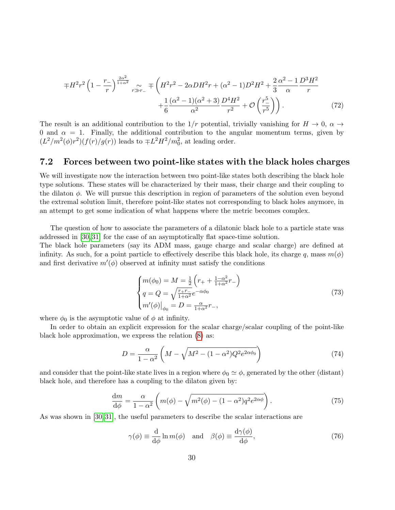$$
\mp H^2 r^2 \left(1 - \frac{r_-}{r}\right)^{\frac{2\alpha^2}{1+\alpha^2}} \underset{r \gg r_-}{\sim} \mp \left(H^2 r^2 - 2\alpha D H^2 r + (\alpha^2 - 1)D^2 H^2 + \frac{2}{3} \frac{\alpha^2 - 1}{\alpha} \frac{D^3 H^2}{r} + \frac{1}{6} \frac{(\alpha^2 - 1)(\alpha^2 + 3)}{\alpha^2} \frac{D^4 H^2}{r^2} + \mathcal{O}\left(\frac{r^5}{r^5}\right)\right). \tag{72}
$$

The result is an additional contribution to the  $1/r$  potential, trivially vanishing for  $H \to 0$ ,  $\alpha \to$ 0 and  $\alpha = 1$ . Finally, the additional contribution to the angular momentum terms, given by  $(L^2/m^2(\phi)r^2)(f(r)/g(r))$  leads to  $\mp L^2H^2/m_0^2$ , at leading order.

#### <span id="page-29-0"></span>7.2 Forces between two point-like states with the black holes charges

We will investigate now the interaction between two point-like states both describing the black hole type solutions. These states will be characterized by their mass, their charge and their coupling to the dilaton  $\phi$ . We will pursue this description in region of parameters of the solution even beyond the extremal solution limit, therefore point-like states not corresponding to black holes anymore, in an attempt to get some indication of what happens where the metric becomes complex.

The question of how to associate the parameters of a dilatonic black hole to a particle state was addressed in [\[30,](#page-38-13) [31\]](#page-38-14) for the case of an asymptotically flat space-time solution.

The black hole parameters (say its ADM mass, gauge charge and scalar charge) are defined at infinity. As such, for a point particle to effectively describe this black hole, its charge q, mass  $m(\phi)$ and first derivative  $m'(\phi)$  observed at infinity must satisfy the conditions

$$
\begin{cases}\nm(\phi_0) = M = \frac{1}{2} \left( r_+ + \frac{1 - \alpha^2}{1 + \alpha^2} r_- \right) \\
q = Q = \sqrt{\frac{r_+ r_-}{1 + \alpha^2}} e^{-\alpha \phi_0} \\
m'(\phi)|_{\phi_0} = D = \frac{\alpha}{1 + \alpha^2} r_-,\n\end{cases} \tag{73}
$$

where  $\phi_0$  is the asymptotic value of  $\phi$  at infinity.

In order to obtain an explicit expression for the scalar charge/scalar coupling of the point-like black hole approximation, we express the relation [\(8\)](#page-3-2) as:

$$
D = \frac{\alpha}{1 - \alpha^2} \left( M - \sqrt{M^2 - (1 - \alpha^2) Q^2 e^{2\alpha \phi_0}} \right)
$$
 (74)

and consider that the point-like state lives in a region where  $\phi_0 \simeq \phi$ , generated by the other (distant) black hole, and therefore has a coupling to the dilaton given by:

<span id="page-29-1"></span>
$$
\frac{dm}{d\phi} = \frac{\alpha}{1 - \alpha^2} \left( m(\phi) - \sqrt{m^2(\phi) - (1 - \alpha^2) q^2 e^{2\alpha \phi}} \right). \tag{75}
$$

As was shown in [\[30,](#page-38-13) [31\]](#page-38-14), the useful parameters to describe the scalar interactions are

$$
\gamma(\phi) \equiv \frac{\mathrm{d}}{\mathrm{d}\phi} \ln m(\phi) \quad \text{and} \quad \beta(\phi) \equiv \frac{\mathrm{d}\gamma(\phi)}{\mathrm{d}\phi},\tag{76}
$$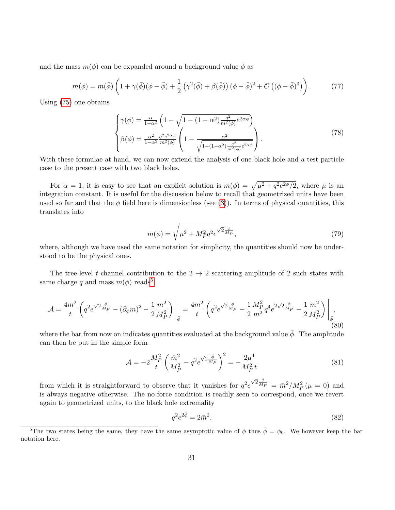and the mass  $m(\phi)$  can be expanded around a background value  $\bar{\phi}$  as

<span id="page-30-2"></span>
$$
m(\phi) = m(\bar{\phi}) \left( 1 + \gamma(\bar{\phi})(\phi - \bar{\phi}) + \frac{1}{2} \left( \gamma^2(\bar{\phi}) + \beta(\bar{\phi}) \right) (\phi - \bar{\phi})^2 + \mathcal{O}\left( (\phi - \bar{\phi})^3 \right) \right). \tag{77}
$$

Using [\(75\)](#page-29-1) one obtains

$$
\begin{cases}\n\gamma(\phi) = \frac{\alpha}{1-\alpha^2} \left( 1 - \sqrt{1 - (1 - \alpha^2) \frac{q^2}{m^2(\phi)}} e^{2\alpha\phi} \right) \\
\beta(\phi) = \frac{\alpha^2}{1-\alpha^2} \frac{q^2 e^{2\alpha\phi}}{m^2(\phi)} \left( 1 - \frac{\alpha^2}{\sqrt{1 - (1 - \alpha^2) \frac{q^2}{m^2(\phi)}} e^{2\alpha\phi}} \right).\n\end{cases} (78)
$$

With these formulae at hand, we can now extend the analysis of one black hole and a test particle case to the present case with two black holes.

For  $\alpha = 1$ , it is easy to see that an explicit solution is  $m(\phi) = \sqrt{\mu^2 + q^2 e^{2\phi}/2}$ , where  $\mu$  is an integration constant. It is useful for the discussion below to recall that geometrized units have been used so far and that the  $\phi$  field here is dimensionless (see [\(3\)](#page-3-4)). In terms of physical quantities, this translates into

<span id="page-30-1"></span>
$$
m(\phi) = \sqrt{\mu^2 + M_P^2 q^2 e^{\sqrt{2} \frac{\phi}{M_P}}},\tag{79}
$$

where, although we have used the same notation for simplicity, the quantities should now be understood to be the physical ones.

The tree-level t-channel contribution to the  $2 \rightarrow 2$  scattering amplitude of 2 such states with same charge q and mass  $m(\phi)$  reads<sup>[5](#page-30-0)</sup>:

$$
\mathcal{A} = \frac{4m^2}{t} \left( q^2 e^{\sqrt{2} \frac{\phi}{M_P}} - (\partial_\phi m)^2 - \frac{1}{2} \frac{m^2}{M_P^2} \right) \Big|_{\bar{\phi}} = \frac{4m^2}{t} \left( q^2 e^{\sqrt{2} \frac{\phi}{M_P}} - \frac{1}{2} \frac{M_P^2}{m^2} q^4 e^{2\sqrt{2} \frac{\phi}{M_P}} - \frac{1}{2} \frac{m^2}{M_P^2} \right) \Big|_{\bar{\phi}},\tag{80}
$$

where the bar from now on indicates quantities evaluated at the background value  $\bar{\phi}$ . The amplitude can then be put in the simple form

$$
\mathcal{A} = -2\frac{M_P^2}{t} \left(\frac{\bar{m}^2}{M_P^2} - q^2 e^{\sqrt{2}\frac{\bar{\phi}}{M_P}}\right)^2 = -\frac{2\mu^4}{M_P^2 t}
$$
(81)

from which it is straightforward to observe that it vanishes for  $q^2e$  $\sqrt{2} \frac{\bar{\phi}}{M_P} = \bar{m}^2 / M_P^2 (\mu = 0)$  and is always negative otherwise. The no-force condition is readily seen to correspond, once we revert again to geometrized units, to the black hole extremality

$$
q^2 e^{2\bar{\phi}} = 2\bar{m}^2. \tag{82}
$$

<span id="page-30-0"></span><sup>&</sup>lt;sup>5</sup>The two states being the same, they have the same asymptotic value of  $\phi$  thus  $\bar{\phi} = \phi_0$ . We however keep the bar notation here.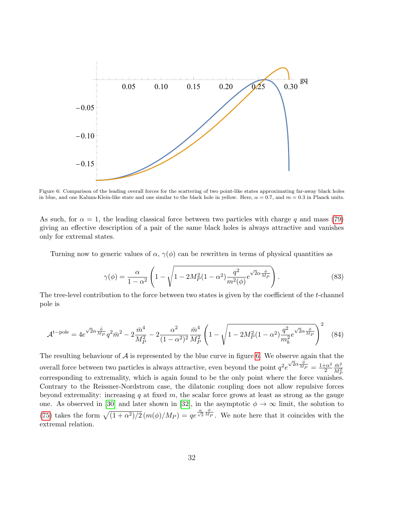<span id="page-31-0"></span>

Figure 6: Comparison of the leading overall forces for the scattering of two point-like states approximating far-away black holes in blue, and one Kaluza-Klein-like state and one similar to the black hole in yellow. Here,  $\alpha = 0.7$ , and  $m = 0.3$  in Planck units.

As such, for  $\alpha = 1$ , the leading classical force between two particles with charge q and mass [\(79\)](#page-30-1) giving an effective description of a pair of the same black holes is always attractive and vanishes only for extremal states.

Turning now to generic values of  $\alpha$ ,  $\gamma(\phi)$  can be rewritten in terms of physical quantities as

$$
\gamma(\phi) = \frac{\alpha}{1 - \alpha^2} \left( 1 - \sqrt{1 - 2M_P^2 (1 - \alpha^2) \frac{q^2}{m^2(\phi)}} e^{\sqrt{2}\alpha \frac{\phi}{M_P}} \right). \tag{83}
$$

The tree-level contribution to the force between two states is given by the coefficient of the t-channel pole is

$$
\mathcal{A}^{\text{t-pole}} = 4e^{\sqrt{2}\alpha \frac{\bar{\phi}}{M_P}} q^2 \bar{m}^2 - 2\frac{\bar{m}^4}{M_P^2} - 2\frac{\alpha^2}{(1 - \alpha^2)^2} \frac{\bar{m}^4}{M_P^2} \left(1 - \sqrt{1 - 2M_P^2 (1 - \alpha^2) \frac{q^2}{m_b^2} e^{\sqrt{2}\alpha \frac{\phi}{M_P}}}\right)^2 \tag{84}
$$

The resulting behaviour of  $\mathcal A$  is represented by the blue curve in figure [6.](#page-31-0) We observe again that the overall force between two particles is always attractive, even beyond the point  $q^2 e^{\sqrt{2}\alpha \frac{\phi}{MP}} = \frac{1+\alpha^2}{2}$ 2  $\bar{m}^2$  $\overline{M_F^2}$ corresponding to extremality, which is again found to be the only point where the force vanishes. Contrary to the Reissner-Nordstrom case, the dilatonic coupling does not allow repulsive forces beyond extremality: increasing q at fixed m, the scalar force grows at least as strong as the gauge one. As observed in [\[30\]](#page-38-13) and later shown in [\[32\]](#page-39-0), in the asymptotic  $\phi \to \infty$  limit, the solution to [\(75\)](#page-29-1) takes the form  $\sqrt{(1 + \alpha^2)/2} (m(\phi)/M_P) = qe^{\frac{\alpha}{\sqrt{2}} \frac{\phi}{M_P}}$ . We note here that it coincides with the extremal relation.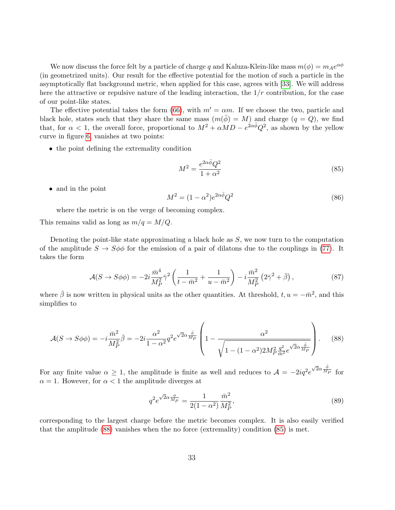We now discuss the force felt by a particle of charge q and Kaluza-Klein-like mass  $m(\phi) = m_A e^{\alpha \phi}$ (in geometrized units). Our result for the effective potential for the motion of such a particle in the asymptotically flat background metric, when applied for this case, agrees with [\[33\]](#page-39-1). We will address here the attractive or repulsive nature of the leading interaction, the  $1/r$  contribution, for the case of our point-like states.

The effective potential takes the form [\(66\)](#page-27-3), with  $m' = \alpha m$ . If we choose the two, particle and black hole, states such that they share the same mass  $(m(\phi) = M)$  and charge  $(q = Q)$ , we find that, for  $\alpha < 1$ , the overall force, proportional to  $M^2 + \alpha M D - e^{2\alpha \bar{\phi}} Q^2$ , as shown by the yellow curve in figure [6,](#page-31-0) vanishes at two points:

• the point defining the extremality condition

<span id="page-32-1"></span>
$$
M^2 = \frac{e^{2\alpha\bar{\phi}}Q^2}{1+\alpha^2} \tag{85}
$$

• and in the point

$$
M^2 = (1 - \alpha^2)e^{2\alpha\bar{\phi}}Q^2\tag{86}
$$

where the metric is on the verge of becoming complex.

This remains valid as long as  $m/q = M/Q$ .

Denoting the point-like state approximating a black hole as  $S$ , we now turn to the computation of the amplitude  $S \to S\phi\phi$  for the emission of a pair of dilatons due to the couplings in [\(77\)](#page-30-2). It takes the form

$$
\mathcal{A}(S \to S\phi\phi) = -2i\frac{\bar{m}^4}{M_P^2}\bar{\gamma}^2 \left(\frac{1}{t - \bar{m}^2} + \frac{1}{u - \bar{m}^2}\right) - i\frac{\bar{m}^2}{M_P^2} \left(2\bar{\gamma}^2 + \bar{\beta}\right),\tag{87}
$$

where  $\bar{\beta}$  is now written in physical units as the other quantities. At threshold,  $t, u = -\bar{m}^2$ , and this simplifies to

<span id="page-32-0"></span>
$$
\mathcal{A}(S \to S\phi\phi) = -i\frac{\bar{m}^2}{M_P^2}\bar{\beta} = -2i\frac{\alpha^2}{1-\alpha^2}q^2e^{\sqrt{2}\alpha\frac{\bar{\phi}}{M_P}}\left(1 - \frac{\alpha^2}{\sqrt{1-(1-\alpha^2)2M_P^2\frac{q^2}{\bar{m}^2}e^{\sqrt{2}\alpha\frac{\bar{\phi}}{M_P}}}}\right).
$$
(88)

For any finite value  $\alpha \geq 1$ , the amplitude is finite as well and reduces to  $\mathcal{A} = -2iq^2e$  $\sqrt{2}\alpha \frac{\bar{\phi}}{Mp}$  for  $\alpha = 1$ . However, for  $\alpha < 1$  the amplitude diverges at

$$
q^2 e^{\sqrt{2}\alpha \frac{\phi}{M_P}} = \frac{1}{2(1 - \alpha^2)} \frac{\bar{m}^2}{M_P^2},\tag{89}
$$

corresponding to the largest charge before the metric becomes complex. It is also easily verified that the amplitude [\(88\)](#page-32-0) vanishes when the no force (extremality) condition [\(85\)](#page-32-1) is met.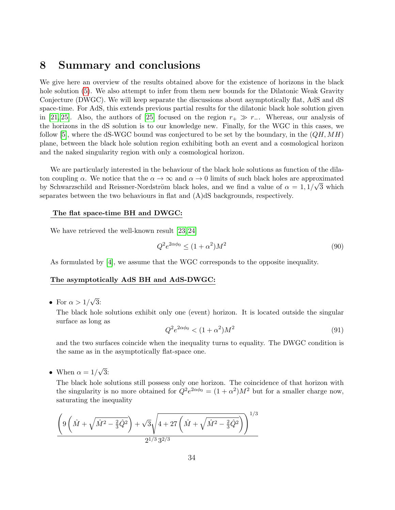# <span id="page-33-0"></span>8 Summary and conclusions

We give here an overview of the results obtained above for the existence of horizons in the black hole solution [\(5\)](#page-3-0). We also attempt to infer from them new bounds for the Dilatonic Weak Gravity Conjecture (DWGC). We will keep separate the discussions about asymptotically flat, AdS and dS space-time. For AdS, this extends previous partial results for the dilatonic black hole solution given in [\[21,](#page-38-7) [25\]](#page-38-8). Also, the authors of [\[25\]](#page-38-8) focused on the region  $r_{+} \gg r_{-}$ . Whereas, our analysis of the horizons in the dS solution is to our knowledge new. Finally, for the WGC in this cases, we follow [\[5\]](#page-37-4), where the dS-WGC bound was conjectured to be set by the boundary, in the  $(QH, MH)$ plane, between the black hole solution region exhibiting both an event and a cosmological horizon and the naked singularity region with only a cosmological horizon.

We are particularly interested in the behaviour of the black hole solutions as function of the dilaton coupling  $\alpha$ . We notice that the  $\alpha \to \infty$  and  $\alpha \to 0$  limits of such black holes are approximated by Schwarzschild and Reissner-Nordström black holes, and we find a value of  $\alpha = 1, 1/\sqrt{3}$  which separates between the two behaviours in flat and (A)dS backgrounds, respectively.

#### The flat space-time BH and DWGC:

We have retrieved the well-known result [\[23,](#page-38-5) [24\]](#page-38-6)

$$
Q^2 e^{2\alpha \phi_0} \le (1 + \alpha^2) M^2 \tag{90}
$$

As formulated by [\[4\]](#page-37-3), we assume that the WGC corresponds to the opposite inequality.

#### The asymptotically AdS BH and AdS-DWGC:

• For  $\alpha > 1/$ √ 3:

> The black hole solutions exhibit only one (event) horizon. It is located outside the singular surface as long as

$$
Q^2 e^{2\alpha \phi_0} < (1 + \alpha^2) M^2 \tag{91}
$$

and the two surfaces coincide when the inequality turns to equality. The DWGC condition is the same as in the asymptotically flat-space one.

• When  $\alpha = 1/$ √ 3:

> The black hole solutions still possess only one horizon. The coincidence of that horizon with the singularity is no more obtained for  $Q^2 e^{2\alpha\phi_0} = (1 + \alpha^2)M^2$  but for a smaller charge now, saturating the inequality

$$
\frac{\left(9\left(\hat{M} + \sqrt{\hat{M}^2 - \frac{2}{3}\hat{Q}^2}\right) + \sqrt{3}\sqrt{4 + 27\left(\hat{M} + \sqrt{\hat{M}^2 - \frac{2}{3}\hat{Q}^2}\right)}\right)^{1/3}}{2^{1/3}3^{2/3}}
$$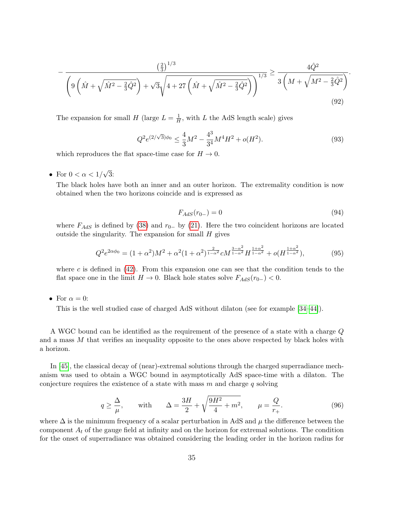$$
-\frac{\left(\frac{2}{3}\right)^{1/3}}{\left(9\left(\hat{M} + \sqrt{\hat{M}^2 - \frac{2}{3}\hat{Q}^2}\right) + \sqrt{3}\sqrt{4 + 27\left(\hat{M} + \sqrt{\hat{M}^2 - \frac{2}{3}\hat{Q}^2}\right)}\right)^{1/3}} \ge \frac{4\hat{Q}^2}{3\left(M + \sqrt{M^2 - \frac{2}{3}\hat{Q}^2}\right)}.
$$
\n(92)

The expansion for small H (large  $L = \frac{1}{H}$ )  $\frac{1}{H}$ , with L the AdS length scale) gives

$$
Q^{2}e^{(2/\sqrt{3})\phi_{0}} \leq \frac{4}{3}M^{2} - \frac{4^{3}}{3^{4}}M^{4}H^{2} + o(H^{2}).
$$
\n(93)

which reproduces the flat space-time case for  $H \to 0$ .

• For  $0 < \alpha < 1/$ √ 3:

> The black holes have both an inner and an outer horizon. The extremality condition is now obtained when the two horizons coincide and is expressed as

$$
F_{AdS}(r_{0-}) = 0 \tag{94}
$$

where  $F_{AdS}$  is defined by [\(38\)](#page-19-2) and  $r_{0-}$  by [\(21\)](#page-10-2). Here the two coincident horizons are located outside the singularity. The expansion for small  $H$  gives

$$
Q^2 e^{2\alpha \phi_0} = (1 + \alpha^2) M^2 + \alpha^2 (1 + \alpha^2)^{\frac{2}{1 - \alpha^2}} c M^{\frac{3 - \alpha^2}{1 - \alpha^2}} H^{\frac{1 + \alpha^2}{1 - \alpha^2}} + o(H^{\frac{1 + \alpha^2}{1 - \alpha^2}}),\tag{95}
$$

where c is defined in  $(42)$ . From this expansion one can see that the condition tends to the flat space one in the limit  $H \to 0$ . Black hole states solve  $F_{AdS}(r_{0-}) < 0$ .

• For  $\alpha = 0$ :

This is the well studied case of charged AdS without dilaton (see for example [\[34–](#page-39-2)[44\]](#page-39-3)).

A WGC bound can be identified as the requirement of the presence of a state with a charge Q and a mass M that verifies an inequality opposite to the ones above respected by black holes with a horizon.

In [\[45\]](#page-39-4), the classical decay of (near)-extremal solutions through the charged superradiance mechanism was used to obtain a WGC bound in asymptotically AdS space-time with a dilaton. The conjecture requires the existence of a state with mass  $m$  and charge q solving

<span id="page-34-0"></span>
$$
q \ge \frac{\Delta}{\mu}, \quad \text{with} \quad \Delta = \frac{3H}{2} + \sqrt{\frac{9H^2}{4} + m^2}, \quad \mu = \frac{Q}{r_+}.
$$
 (96)

where  $\Delta$  is the minimum frequency of a scalar perturbation in AdS and  $\mu$  the difference between the component  $A_t$  of the gauge field at infinity and on the horizon for extremal solutions. The condition for the onset of superradiance was obtained considering the leading order in the horizon radius for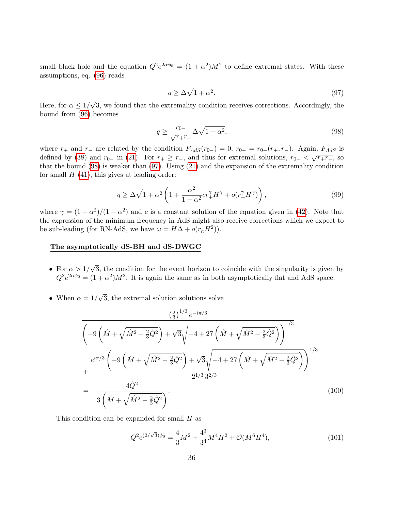small black hole and the equation  $Q^2 e^{2\alpha \phi_0} = (1 + \alpha^2) M^2$  to define extremal states. With these assumptions, eq. [\(96\)](#page-34-0) reads

<span id="page-35-1"></span>
$$
q \ge \Delta \sqrt{1 + \alpha^2}.\tag{97}
$$

Here, for  $\alpha \leq 1/$ √ 3, we found that the extremality condition receives corrections. Accordingly, the bound from [\(96\)](#page-34-0) becomes

<span id="page-35-0"></span>
$$
q \ge \frac{r_{0-}}{\sqrt{r_+ r_-}} \Delta \sqrt{1 + \alpha^2},\tag{98}
$$

where  $r_+$  and  $r_-$  are related by the condition  $F_{AdS}(r_{0-}) = 0$ ,  $r_{0-} = r_{0-}(r_+, r_-)$ . Again,  $F_{AdS}$  is defined by [\(38\)](#page-19-2) and  $r_0$ - in [\(21\)](#page-10-2). For  $r_+ \geq r_-$ , and thus for extremal solutions,  $r_0$ -  $\langle \sqrt{r_+r_-}$ , so that the bound [\(98\)](#page-35-0) is weaker than [\(97\)](#page-35-1). Using [\(21\)](#page-10-2) and the expansion of the extremality condition for small  $H(41)$  $H(41)$ , this gives at leading order:

$$
q \ge \Delta\sqrt{1+\alpha^2} \left(1 + \frac{\alpha^2}{1-\alpha^2}cr_+^{\gamma}H^{\gamma} + o(r_+^{\gamma}H^{\gamma})\right),\tag{99}
$$

where  $\gamma = (1 + \alpha^2)/(1 - \alpha^2)$  and c is a constant solution of the equation given in [\(42\)](#page-22-4). Note that the expression of the minimum frequency in AdS might also receive corrections which we expect to be sub-leading (for RN-AdS, we have  $\omega = H\Delta + o(r_h H^2)$ ).

#### The asymptotically dS-BH and dS-DWGC

- For  $\alpha > 1/$ √ 3, the condition for the event horizon to coincide with the singularity is given by  $Q^2 e^{2\alpha\phi_0} = (1+\alpha^2)M^2$ . It is again the same as in both asymptotically flat and AdS space.
- When  $\alpha = 1/$ √ 3, the extremal solution solutions solve

$$
\frac{\left(\frac{2}{3}\right)^{1/3} e^{-i\pi/3}}{\left(-9\left(\hat{M} + \sqrt{\hat{M}^2 - \frac{2}{3}\hat{Q}^2}\right) + \sqrt{3}\sqrt{-4 + 27\left(\hat{M} + \sqrt{\hat{M}^2 - \frac{2}{3}\hat{Q}^2}\right)}\right)^{1/3}} + \frac{e^{i\pi/3}\left(-9\left(\hat{M} + \sqrt{\hat{M}^2 - \frac{2}{3}\hat{Q}^2}\right) + \sqrt{3}\sqrt{-4 + 27\left(\hat{M} + \sqrt{\hat{M}^2 - \frac{2}{3}\hat{Q}^2}\right)}\right)^{1/3}}{2^{1/3}3^{2/3}}
$$
\n
$$
= -\frac{4\hat{Q}^2}{3\left(\hat{M} + \sqrt{\hat{M}^2 - \frac{2}{3}\hat{Q}^2}\right)}.
$$
\n(100)

This condition can be expanded for small  $H$  as

$$
Q^{2}e^{(2/\sqrt{3})\phi_{0}} = \frac{4}{3}M^{2} + \frac{4^{3}}{3^{4}}M^{4}H^{2} + \mathcal{O}(M^{6}H^{4}), \qquad (101)
$$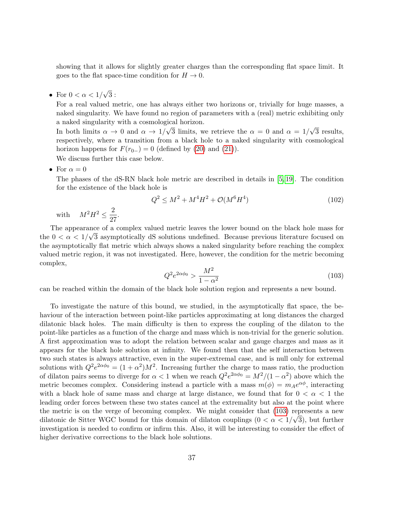showing that it allows for slightly greater charges than the corresponding flat space limit. It goes to the flat space-time condition for  $H \to 0$ .

• For  $0 < \alpha < 1/$ √ 3 :

For a real valued metric, one has always either two horizons or, trivially for huge masses, a naked singularity. We have found no region of parameters with a (real) metric exhibiting only a naked singularity with a cosmological horizon. √ √

In both limits  $\alpha \to 0$  and  $\alpha \to 1/$ 3 limits, we retrieve the  $\alpha = 0$  and  $\alpha = 1/$ 3 results, respectively, where a transition from a black hole to a naked singularity with cosmological horizon happens for  $F(r_{0-}) = 0$  (defined by [\(20\)](#page-10-1) and [\(21\)](#page-10-2)).

We discuss further this case below.

• For  $\alpha = 0$ 

The phases of the dS-RN black hole metric are described in details in [\[5,](#page-37-4) [19\]](#page-38-2). The condition for the existence of the black hole is

$$
Q^2 \le M^2 + M^4 H^2 + \mathcal{O}(M^6 H^4) \tag{102}
$$

with  $M^2H^2 \leq \frac{2}{\gamma^2}$  $rac{2}{27}$ .

The appearance of a complex valued metric leaves the lower bound on the black hole mass for the  $0 < \alpha < 1/\sqrt{3}$  asymptotically dS solutions undefined. Because previous literature focused on the asymptotically flat metric which always shows a naked singularity before reaching the complex valued metric region, it was not investigated. Here, however, the condition for the metric becoming complex,

<span id="page-36-0"></span>
$$
Q^2 e^{2\alpha \phi_0} > \frac{M^2}{1 - \alpha^2}
$$
 (103)

can be reached within the domain of the black hole solution region and represents a new bound.

To investigate the nature of this bound, we studied, in the asymptotically flat space, the behaviour of the interaction between point-like particles approximating at long distances the charged dilatonic black holes. The main difficulty is then to express the coupling of the dilaton to the point-like particles as a function of the charge and mass which is non-trivial for the generic solution. A first approximation was to adopt the relation between scalar and gauge charges and mass as it appears for the black hole solution at infinity. We found then that the self interaction between two such states is always attractive, even in the super-extremal case, and is null only for extremal solutions with  $Q^2 e^{2\alpha \phi_0} = (1 + \alpha^2) M^2$ . Increasing further the charge to mass ratio, the production of dilaton pairs seems to diverge for  $\alpha < 1$  when we reach  $Q^2 e^{2\alpha \phi_0} = M^2/(1 - \alpha^2)$  above which the metric becomes complex. Considering instead a particle with a mass  $m(\phi) = m_A e^{\alpha \phi}$ , interacting with a black hole of same mass and charge at large distance, we found that for  $0 < \alpha < 1$  the leading order forces between these two states cancel at the extremality but also at the point where the metric is on the verge of becoming complex. We might consider that  $(103)$  represents a new dilatonic de Sitter WGC bound for this domain of dilaton couplings  $(0 < \alpha < 1/\sqrt{3})$ , but further investigation is needed to confirm or infirm this. Also, it will be interesting to consider the effect of higher derivative corrections to the black hole solutions.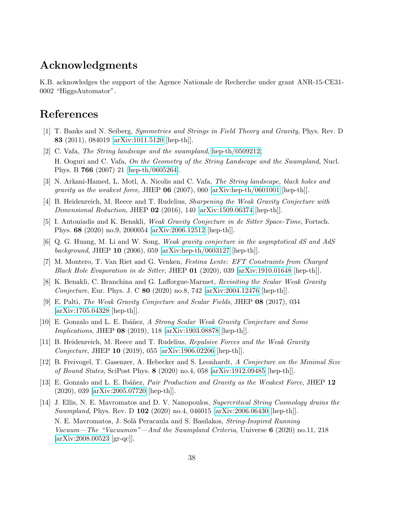### Acknowledgments

K.B. acknowledges the support of the Agence Nationale de Recherche under grant ANR-15-CE31- 0002 "HiggsAutomator".

### References

- <span id="page-37-0"></span>[1] T. Banks and N. Seiberg, Symmetries and Strings in Field Theory and Gravity, Phys. Rev. D 83 (2011), 084019 [\[arXiv:1011.5120](http://arxiv.org/abs/1011.5120) [hep-th]].
- <span id="page-37-1"></span>[2] C. Vafa, The String landscape and the swampland, [hep-th/0509212;](http://arxiv.org/abs/hep-th/0509212) H. Ooguri and C. Vafa, On the Geometry of the String Landscape and the Swampland, Nucl. Phys. B 766 (2007) 21 [\[hep-th/0605264\]](http://arxiv.org/abs/hep-th/0605264).
- <span id="page-37-2"></span>[3] N. Arkani-Hamed, L. Motl, A. Nicolis and C. Vafa, The String landscape, black holes and gravity as the weakest force, JHEP 06 (2007), 060 [\[arXiv:hep-th/0601001](http://arxiv.org/abs/hep-th/0601001) [hep-th]].
- <span id="page-37-3"></span>[4] B. Heidenreich, M. Reece and T. Rudelius, Sharpening the Weak Gravity Conjecture with Dimensional Reduction, JHEP  $\overline{02}$  (2016), 140 [\[arXiv:1509.06374](http://arxiv.org/abs/1509.06374) [hep-th]].
- <span id="page-37-4"></span>[5] I. Antoniadis and K. Benakli, Weak Gravity Conjecture in de Sitter Space-Time, Fortsch. Phys. 68 (2020) no.9, 2000054 [\[arXiv:2006.12512](http://arxiv.org/abs/2006.12512) [hep-th]].
- <span id="page-37-5"></span>[6] Q. G. Huang, M. Li and W. Song, Weak gravity conjecture in the asymptotical dS and AdS background, JHEP 10 (2006), 059 [\[arXiv:hep-th/0603127](http://arxiv.org/abs/hep-th/0603127) [hep-th]].
- <span id="page-37-6"></span>[7] M. Montero, T. Van Riet and G. Venken, Festina Lente: EFT Constraints from Charged Black Hole Evaporation in de Sitter, JHEP  $01$  (2020), 039 [\[arXiv:1910.01648](http://arxiv.org/abs/1910.01648) [hep-th]].
- <span id="page-37-7"></span>[8] K. Benakli, C. Branchina and G. Lafforgue-Marmet, Revisiting the Scalar Weak Gravity Conjecture, Eur. Phys. J. C 80 (2020) no.8, 742 [\[arXiv:2004.12476](http://arxiv.org/abs/2004.12476) [hep-th]].
- [9] E. Palti, The Weak Gravity Conjecture and Scalar Fields, JHEP 08 (2017), 034 [\[arXiv:1705.04328](http://arxiv.org/abs/1705.04328) [hep-th]].
- [10] E. Gonzalo and L. E. Ibáñez, A Strong Scalar Weak Gravity Conjecture and Some *Implications*, JHEP **08** (2019), 118 [\[arXiv:1903.08878](http://arxiv.org/abs/1903.08878) [hep-th]].
- [11] B. Heidenreich, M. Reece and T. Rudelius, Repulsive Forces and the Weak Gravity Conjecture, JHEP 10 (2019), 055 [\[arXiv:1906.02206](http://arxiv.org/abs/1906.02206) [hep-th]].
- [12] B. Freivogel, T. Gasenzer, A. Hebecker and S. Leonhardt, A Conjecture on the Minimal Size of Bound States, SciPost Phys. 8 (2020) no.4, 058 [\[arXiv:1912.09485](http://arxiv.org/abs/1912.09485) [hep-th]].
- [13] E. Gonzalo and L. E. Ibáñez, *Pair Production and Gravity as the Weakest Force*, JHEP 12 (2020), 039 [\[arXiv:2005.07720](http://arxiv.org/abs/2005.07720) [hep-th]].
- [14] J. Ellis, N. E. Mavromatos and D. V. Nanopoulos, Supercritical String Cosmology drains the Swampland, Phys. Rev. D 102 (2020) no.4, 046015 [\[arXiv:2006.06430](http://arxiv.org/abs/2006.06430) [hep-th]. N. E. Mavromatos, J. Solà Peracaula and S. Basilakos, *String-Inspired Running* Vacuum—The "Vacuumon"—And the Swampland Criteria, Universe 6 (2020) no.11, 218 [\[arXiv:2008.00523](http://arxiv.org/abs/2008.00523) [gr-qc]].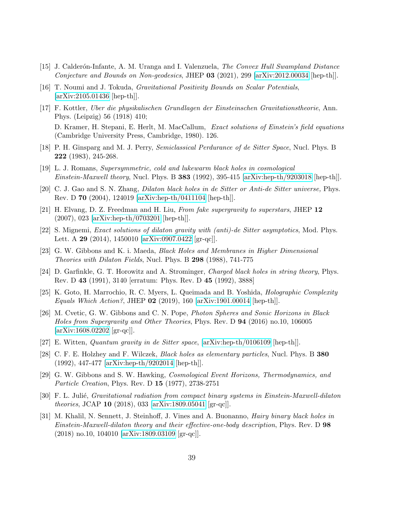- [15] J. Calderón-Infante, A. M. Uranga and I. Valenzuela, *The Convex Hull Swampland Distance* Conjecture and Bounds on Non-geodesics, JHEP 03 (2021), 299 [\[arXiv:2012.00034](http://arxiv.org/abs/2012.00034) [hep-th]].
- <span id="page-38-0"></span>[16] T. Noumi and J. Tokuda, Gravitational Positivity Bounds on Scalar Potentials, [\[arXiv:2105.01436](http://arxiv.org/abs/2105.01436) [hep-th]].
- <span id="page-38-1"></span>[17] F. Kottler, Uber die physikalischen Grundlagen der Einsteinschen Gravitationstheorie, Ann. Phys. (Leipzig) 56 (1918) 410; D. Kramer, H. Stepani, E. Herlt, M. MacCallum, Exact solutions of Einstein's field equations (Cambridge University Press, Cambridge, 1980). 126.
- [18] P. H. Ginsparg and M. J. Perry, Semiclassical Perdurance of de Sitter Space, Nucl. Phys. B 222 (1983), 245-268.
- <span id="page-38-2"></span>[19] L. J. Romans, Supersymmetric, cold and lukewarm black holes in cosmological Einstein-Maxwell theory, Nucl. Phys. B 383 (1992), 395-415 [\[arXiv:hep-th/9203018](http://arxiv.org/abs/hep-th/9203018) [hep-th]].
- <span id="page-38-3"></span>[20] C. J. Gao and S. N. Zhang, Dilaton black holes in de Sitter or Anti-de Sitter universe, Phys. Rev. D 70 (2004), 124019 [\[arXiv:hep-th/0411104](http://arxiv.org/abs/hep-th/0411104) [hep-th]].
- <span id="page-38-7"></span>[21] H. Elvang, D. Z. Freedman and H. Liu, From fake supergravity to superstars, JHEP 12 (2007), 023 [\[arXiv:hep-th/0703201](http://arxiv.org/abs/hep-th/0703201) [hep-th]].
- <span id="page-38-4"></span>[22] S. Mignemi, Exact solutions of dilaton gravity with (anti)-de Sitter asymptotics, Mod. Phys. Lett. A 29 (2014), 1450010 [\[arXiv:0907.0422](http://arxiv.org/abs/0907.0422) [gr-qc]].
- <span id="page-38-5"></span>[23] G. W. Gibbons and K. i. Maeda, Black Holes and Membranes in Higher Dimensional Theories with Dilaton Fields, Nucl. Phys. B 298 (1988), 741-775
- <span id="page-38-6"></span>[24] D. Garfinkle, G. T. Horowitz and A. Strominger, Charged black holes in string theory, Phys. Rev. D 43 (1991), 3140 [erratum: Phys. Rev. D 45 (1992), 3888]
- <span id="page-38-8"></span>[25] K. Goto, H. Marrochio, R. C. Myers, L. Queimada and B. Yoshida, Holographic Complexity Equals Which Action?, JHEP 02 (2019), 160 [\[arXiv:1901.00014](http://arxiv.org/abs/1901.00014) [hep-th]].
- <span id="page-38-9"></span>[26] M. Cvetic, G. W. Gibbons and C. N. Pope, Photon Spheres and Sonic Horizons in Black Holes from Supergravity and Other Theories, Phys. Rev. D 94 (2016) no.10, 106005 [\[arXiv:1608.02202](http://arxiv.org/abs/1608.02202) [gr-qc]].
- <span id="page-38-10"></span>[27] E. Witten, Quantum gravity in de Sitter space, [\[arXiv:hep-th/0106109](http://arxiv.org/abs/hep-th/0106109) [hep-th]].
- <span id="page-38-11"></span>[28] C. F. E. Holzhey and F. Wilczek, *Black holes as elementary particles*, Nucl. Phys. B 380 (1992), 447-477 [\[arXiv:hep-th/9202014](http://arxiv.org/abs/hep-th/9202014) [hep-th]].
- <span id="page-38-12"></span>[29] G. W. Gibbons and S. W. Hawking, Cosmological Event Horizons, Thermodynamics, and Particle Creation, Phys. Rev. D 15 (1977), 2738-2751
- <span id="page-38-13"></span>[30] F. L. Julié, *Gravitational radiation from compact binary systems in Einstein-Maxwell-dilaton* theories, JCAP 10 (2018), 033 [\[arXiv:1809.05041](http://arxiv.org/abs/1809.05041) [gr-qc]].
- <span id="page-38-14"></span>[31] M. Khalil, N. Sennett, J. Steinhoff, J. Vines and A. Buonanno, Hairy binary black holes in Einstein-Maxwell-dilaton theory and their effective-one-body description, Phys. Rev. D 98 (2018) no.10, 104010 [\[arXiv:1809.03109](http://arxiv.org/abs/1809.03109) [gr-qc]].